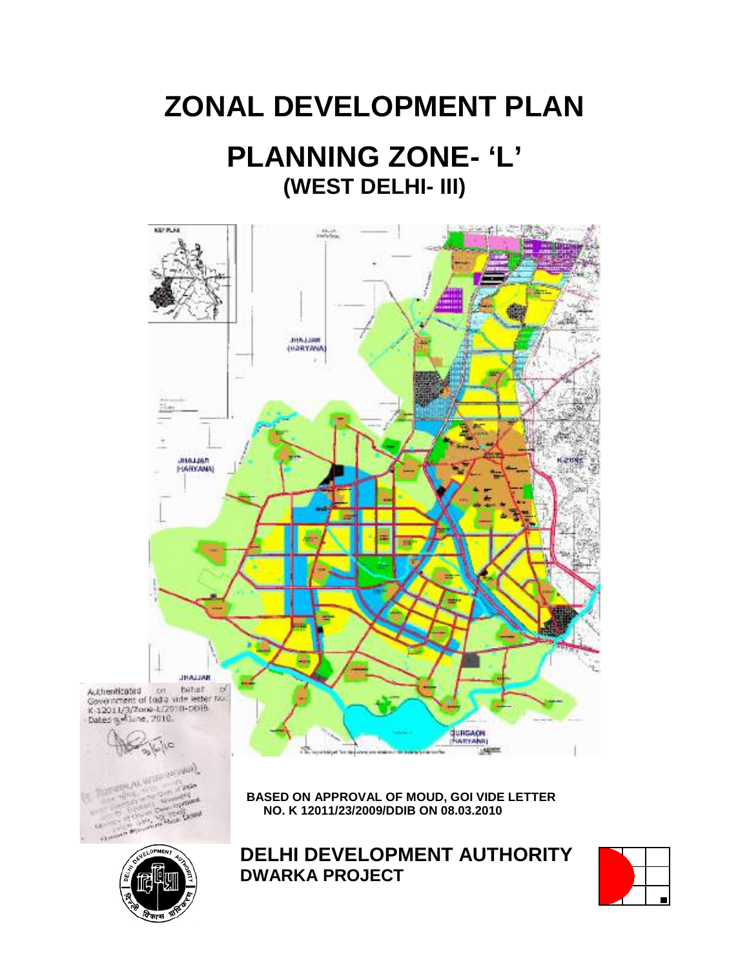# **ZONAL DEVELOPMENT PLAN PLANNING ZONE- 'L' (WEST DELHI- III)**





**DELHI DEVELOPMENT AUTHORITY DWARKA PROJECT**

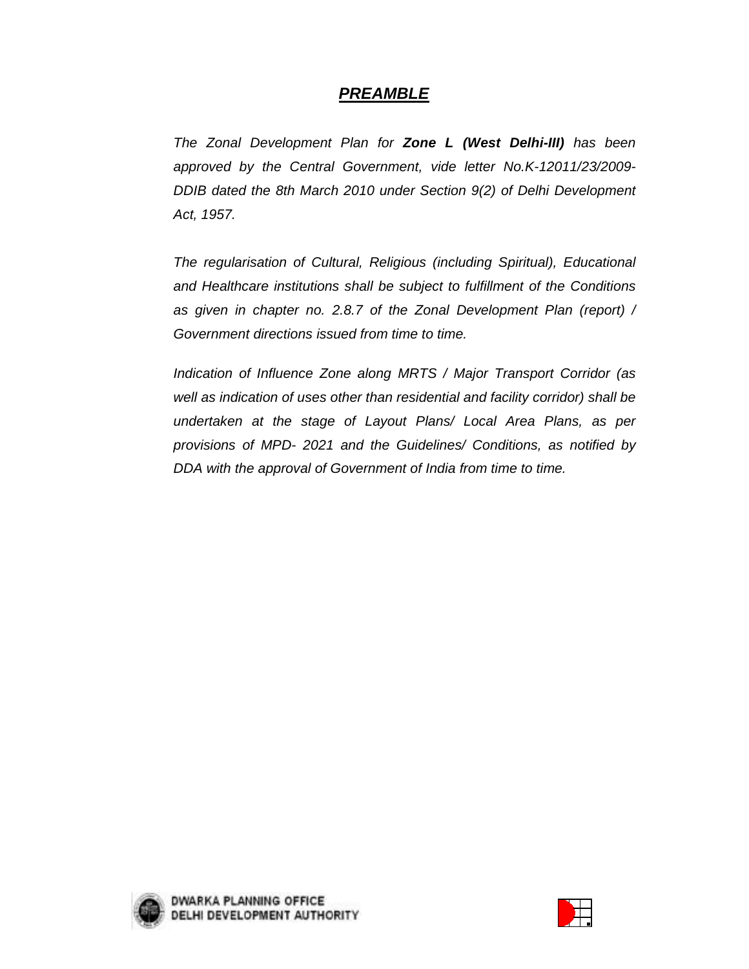# **PREAMBLE**

The Zonal Development Plan for **Zone L (West Delhi-III)** has been approved by the Central Government, vide letter No.K-12011/23/2009- DDIB dated the 8th March 2010 under Section 9(2) of Delhi Development Act, 1957.

The regularisation of Cultural, Religious (including Spiritual), Educational and Healthcare institutions shall be subject to fulfillment of the Conditions as given in chapter no. 2.8.7 of the Zonal Development Plan (report) / Government directions issued from time to time.

Indication of Influence Zone along MRTS / Major Transport Corridor (as well as indication of uses other than residential and facility corridor) shall be undertaken at the stage of Layout Plans/ Local Area Plans, as per provisions of MPD- 2021 and the Guidelines/ Conditions, as notified by DDA with the approval of Government of India from time to time.



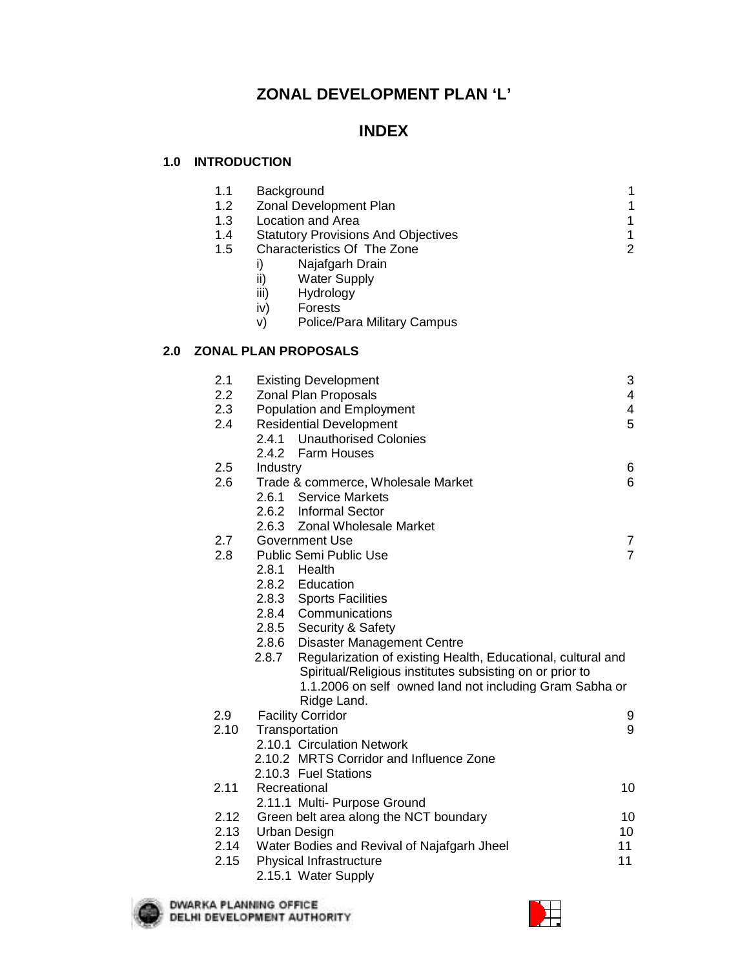# **ZONAL DEVELOPMENT PLAN 'L'**

# **INDEX**

#### **1.0 INTRODUCTION**

|     | 1.1<br>1.2<br>1.3<br>1.4<br>1.5 | Background<br>Zonal Development Plan<br>Location and Area<br><b>Statutory Provisions And Objectives</b><br>Characteristics Of The Zone<br>Najafgarh Drain<br>i)<br>ii)<br><b>Water Supply</b><br>iii)<br>Hydrology<br>iv)<br><b>Forests</b><br>Police/Para Military Campus<br>V) | 1<br>$\mathbf 1$<br>1<br>$\mathbf{1}$<br>$\overline{2}$ |
|-----|---------------------------------|----------------------------------------------------------------------------------------------------------------------------------------------------------------------------------------------------------------------------------------------------------------------------------|---------------------------------------------------------|
| 2.0 |                                 | <b>ZONAL PLAN PROPOSALS</b>                                                                                                                                                                                                                                                      |                                                         |
|     | 2.1<br>2.2<br>2.3<br>2.4        | <b>Existing Development</b><br>Zonal Plan Proposals<br>Population and Employment<br><b>Residential Development</b><br>2.4.1 Unauthorised Colonies<br>2.4.2 Farm Houses                                                                                                           | 3<br>4<br>4<br>5                                        |
|     | 2.5<br>2.6                      | Industry<br>Trade & commerce, Wholesale Market<br>2.6.1 Service Markets<br>2.6.2 Informal Sector                                                                                                                                                                                 | 6<br>6                                                  |
|     | 2.7<br>2.8                      | 2.6.3 Zonal Wholesale Market<br>Government Use<br>Public Semi Public Use<br>2.8.1 Health<br>2.8.2 Education<br>2.8.3 Sports Facilities<br>2.8.4 Communications<br>2.8.5 Security & Safety<br>2.8.6 Disaster Management Centre                                                    | $\overline{7}$<br>$\overline{7}$                        |
|     |                                 | 2.8.7<br>Regularization of existing Health, Educational, cultural and<br>Spiritual/Religious institutes subsisting on or prior to<br>1.1.2006 on self owned land not including Gram Sabha or<br>Ridge Land.                                                                      |                                                         |
|     | 2.9<br>2.10                     | <b>Facility Corridor</b><br>Transportation<br>2.10.1 Circulation Network<br>2.10.2 MRTS Corridor and Influence Zone<br>2.10.3 Fuel Stations                                                                                                                                      | 9<br>9                                                  |
|     | 2.11                            | Recreational<br>2.11.1 Multi- Purpose Ground                                                                                                                                                                                                                                     | 10                                                      |
|     | 2.12<br>2.13<br>2.14<br>2.15    | Green belt area along the NCT boundary<br><b>Urban Design</b><br>Water Bodies and Revival of Najafgarh Jheel<br>Physical Infrastructure<br>2.15.1 Water Supply                                                                                                                   | 10<br>10<br>11<br>11                                    |
|     |                                 |                                                                                                                                                                                                                                                                                  |                                                         |



**DWARKA PLANNING OFFICE<br>DELHI DEVELOPMENT AUTHORITY** 

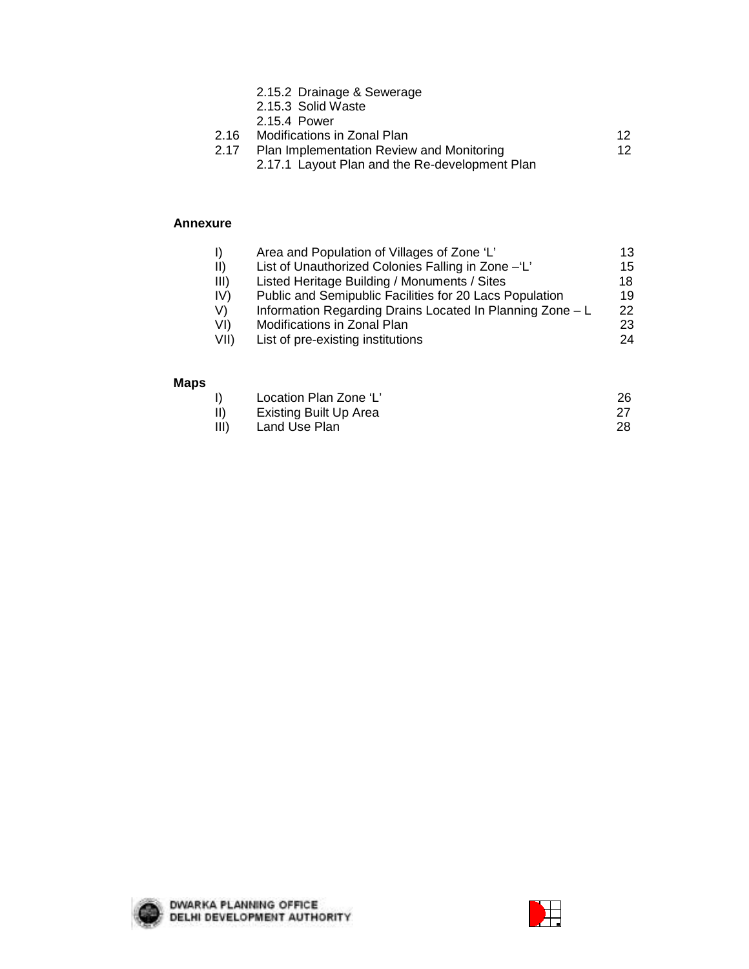- 2.15.2 Drainage & Sewerage
- 2.15.3 Solid Waste
- 2.15.4 Power

|      | 2.16 Modifications in Zonal Plan          |  |
|------|-------------------------------------------|--|
| 2.17 | Plan Implementation Review and Monitoring |  |

2.17.1 Layout Plan and the Re-development Plan

#### **Annexure**

| $\vert$     | Area and Population of Villages of Zone 'L'               | 13  |
|-------------|-----------------------------------------------------------|-----|
| $\parallel$ | List of Unauthorized Colonies Falling in Zone -'L'        | 15  |
| III)        | Listed Heritage Building / Monuments / Sites              | 18  |
| IV)         | Public and Semipublic Facilities for 20 Lacs Population   | 19  |
| V)          | Information Regarding Drains Located In Planning Zone - L | 22. |
| VI)         | Modifications in Zonal Plan                               | 23  |
| VII)        | List of pre-existing institutions                         | 24  |

#### **Maps**

|      | Location Plan Zone 'L' |  |
|------|------------------------|--|
|      | Existing Built Up Area |  |
| III) | Land Use Plan          |  |



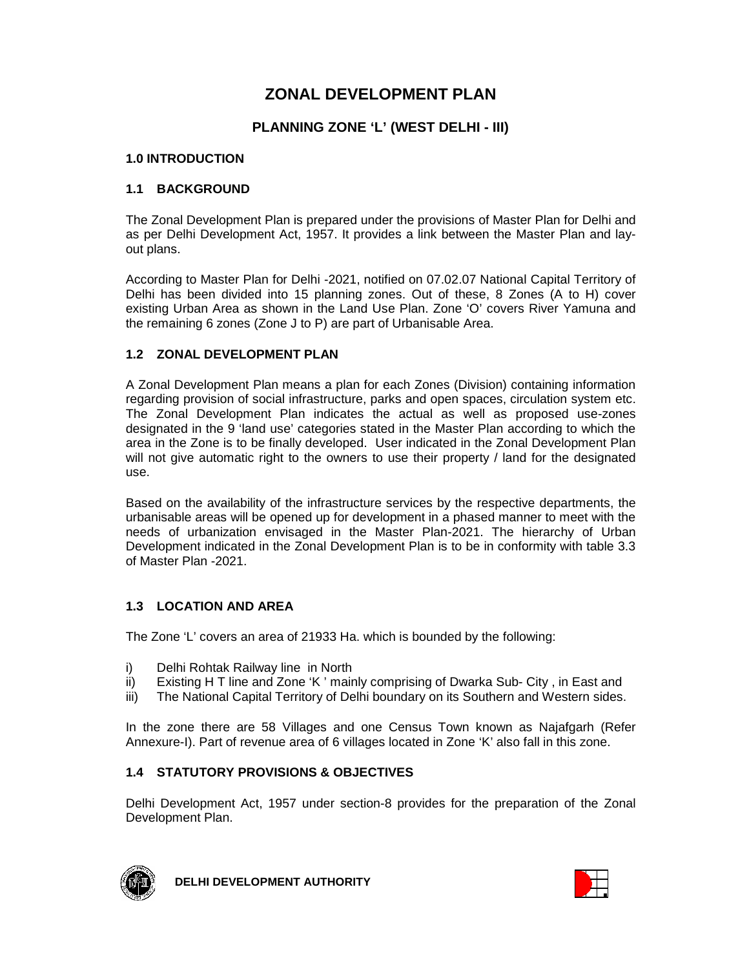# **ZONAL DEVELOPMENT PLAN**

### **PLANNING ZONE 'L' (WEST DELHI - III)**

#### **1.0 INTRODUCTION**

#### **1.1 BACKGROUND**

The Zonal Development Plan is prepared under the provisions of Master Plan for Delhi and as per Delhi Development Act, 1957. It provides a link between the Master Plan and layout plans.

According to Master Plan for Delhi -2021, notified on 07.02.07 National Capital Territory of Delhi has been divided into 15 planning zones. Out of these, 8 Zones (A to H) cover existing Urban Area as shown in the Land Use Plan. Zone 'O' covers River Yamuna and the remaining 6 zones (Zone J to P) are part of Urbanisable Area.

#### **1.2 ZONAL DEVELOPMENT PLAN**

A Zonal Development Plan means a plan for each Zones (Division) containing information regarding provision of social infrastructure, parks and open spaces, circulation system etc. The Zonal Development Plan indicates the actual as well as proposed use-zones designated in the 9 'land use' categories stated in the Master Plan according to which the area in the Zone is to be finally developed. User indicated in the Zonal Development Plan will not give automatic right to the owners to use their property / land for the designated use.

Based on the availability of the infrastructure services by the respective departments, the urbanisable areas will be opened up for development in a phased manner to meet with the needs of urbanization envisaged in the Master Plan-2021. The hierarchy of Urban Development indicated in the Zonal Development Plan is to be in conformity with table 3.3 of Master Plan -2021.

#### **1.3 LOCATION AND AREA**

The Zone 'L' covers an area of 21933 Ha. which is bounded by the following:

- i) Delhi Rohtak Railway line in North
- ii) Existing H T line and Zone 'K ' mainly comprising of Dwarka Sub- City , in East and
- iii) The National Capital Territory of Delhi boundary on its Southern and Western sides.

In the zone there are 58 Villages and one Census Town known as Najafgarh (Refer Annexure-I). Part of revenue area of 6 villages located in Zone 'K' also fall in this zone.

#### **1.4 STATUTORY PROVISIONS & OBJECTIVES**

Delhi Development Act, 1957 under section-8 provides for the preparation of the Zonal Development Plan.



**DELHI DEVELOPMENT AUTHORITY**

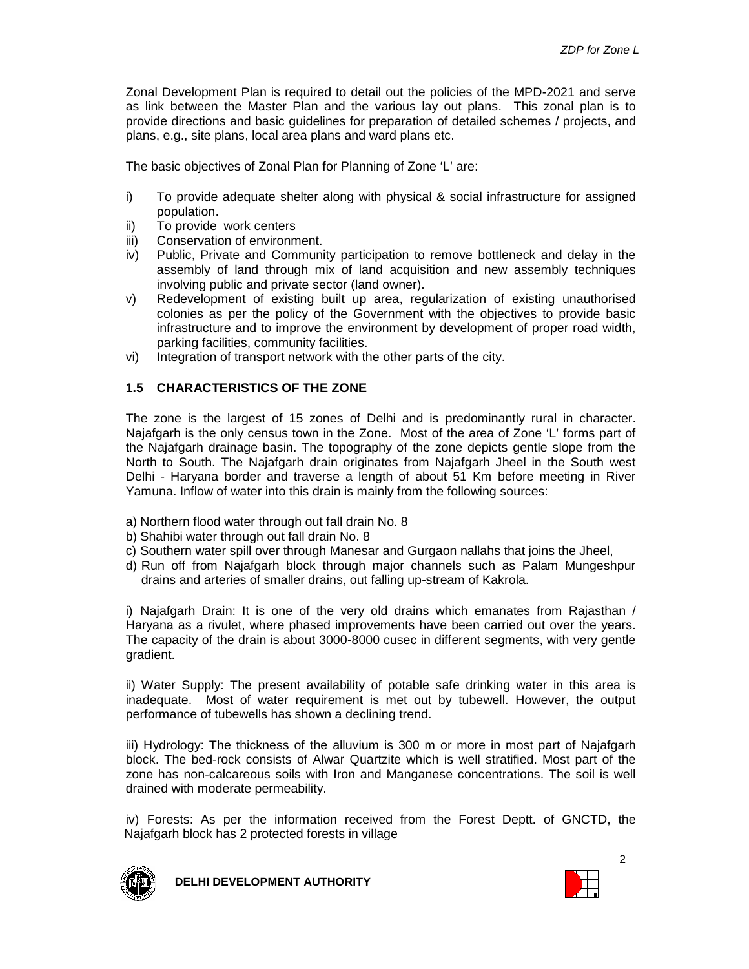Zonal Development Plan is required to detail out the policies of the MPD-2021 and serve as link between the Master Plan and the various lay out plans. This zonal plan is to provide directions and basic guidelines for preparation of detailed schemes / projects, and plans, e.g., site plans, local area plans and ward plans etc.

The basic objectives of Zonal Plan for Planning of Zone 'L' are:

- i) To provide adequate shelter along with physical & social infrastructure for assigned population.
- ii) To provide work centers
- iii) Conservation of environment.
- iv) Public, Private and Community participation to remove bottleneck and delay in the assembly of land through mix of land acquisition and new assembly techniques involving public and private sector (land owner).
- v) Redevelopment of existing built up area, regularization of existing unauthorised colonies as per the policy of the Government with the objectives to provide basic infrastructure and to improve the environment by development of proper road width, parking facilities, community facilities.
- vi) Integration of transport network with the other parts of the city.

#### **1.5 CHARACTERISTICS OF THE ZONE**

The zone is the largest of 15 zones of Delhi and is predominantly rural in character. Najafgarh is the only census town in the Zone. Most of the area of Zone 'L' forms part of the Najafgarh drainage basin. The topography of the zone depicts gentle slope from the North to South. The Najafgarh drain originates from Najafgarh Jheel in the South west Delhi - Haryana border and traverse a length of about 51 Km before meeting in River Yamuna. Inflow of water into this drain is mainly from the following sources:

- a) Northern flood water through out fall drain No. 8
- b) Shahibi water through out fall drain No. 8
- c) Southern water spill over through Manesar and Gurgaon nallahs that joins the Jheel,
- d) Run off from Najafgarh block through major channels such as Palam Mungeshpur drains and arteries of smaller drains, out falling up-stream of Kakrola.

i) Najafgarh Drain: It is one of the very old drains which emanates from Rajasthan / Haryana as a rivulet, where phased improvements have been carried out over the years. The capacity of the drain is about 3000-8000 cusec in different segments, with very gentle gradient.

ii) Water Supply: The present availability of potable safe drinking water in this area is inadequate. Most of water requirement is met out by tubewell. However, the output performance of tubewells has shown a declining trend.

iii) Hydrology: The thickness of the alluvium is 300 m or more in most part of Najafgarh block. The bed-rock consists of Alwar Quartzite which is well stratified. Most part of the zone has non-calcareous soils with Iron and Manganese concentrations. The soil is well drained with moderate permeability.

iv) Forests: As per the information received from the Forest Deptt. of GNCTD, the Najafgarh block has 2 protected forests in village



**DELHI DEVELOPMENT AUTHORITY**

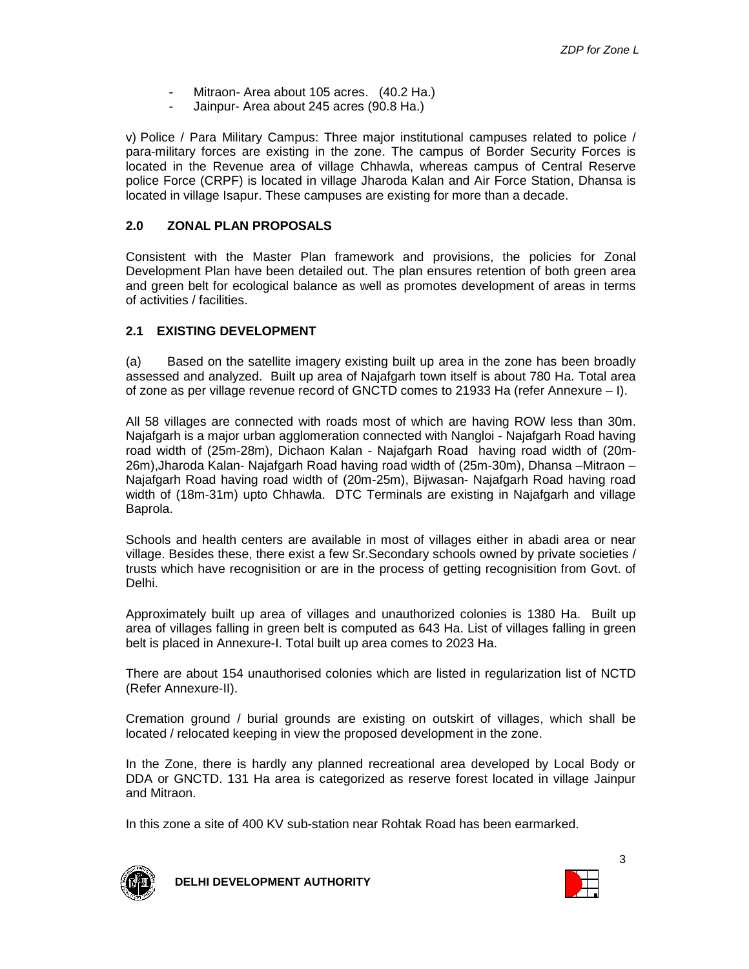- Mitraon- Area about 105 acres. (40.2 Ha.)
- Jainpur- Area about 245 acres (90.8 Ha.)

v) Police / Para Military Campus: Three major institutional campuses related to police / para-military forces are existing in the zone. The campus of Border Security Forces is located in the Revenue area of village Chhawla, whereas campus of Central Reserve police Force (CRPF) is located in village Jharoda Kalan and Air Force Station, Dhansa is located in village Isapur. These campuses are existing for more than a decade.

#### **2.0 ZONAL PLAN PROPOSALS**

Consistent with the Master Plan framework and provisions, the policies for Zonal Development Plan have been detailed out. The plan ensures retention of both green area and green belt for ecological balance as well as promotes development of areas in terms of activities / facilities.

#### **2.1 EXISTING DEVELOPMENT**

(a) Based on the satellite imagery existing built up area in the zone has been broadly assessed and analyzed. Built up area of Najafgarh town itself is about 780 Ha. Total area of zone as per village revenue record of GNCTD comes to 21933 Ha (refer Annexure – I).

All 58 villages are connected with roads most of which are having ROW less than 30m. Najafgarh is a major urban agglomeration connected with Nangloi - Najafgarh Road having road width of (25m-28m), Dichaon Kalan - Najafgarh Road having road width of (20m-26m),Jharoda Kalan- Najafgarh Road having road width of (25m-30m), Dhansa –Mitraon – Najafgarh Road having road width of (20m-25m), Bijwasan- Najafgarh Road having road width of (18m-31m) upto Chhawla. DTC Terminals are existing in Najafgarh and village Baprola.

Schools and health centers are available in most of villages either in abadi area or near village. Besides these, there exist a few Sr.Secondary schools owned by private societies / trusts which have recognisition or are in the process of getting recognisition from Govt. of Delhi.

Approximately built up area of villages and unauthorized colonies is 1380 Ha. Built up area of villages falling in green belt is computed as 643 Ha. List of villages falling in green belt is placed in Annexure-I. Total built up area comes to 2023 Ha.

There are about 154 unauthorised colonies which are listed in regularization list of NCTD (Refer Annexure-II).

Cremation ground / burial grounds are existing on outskirt of villages, which shall be located / relocated keeping in view the proposed development in the zone.

In the Zone, there is hardly any planned recreational area developed by Local Body or DDA or GNCTD. 131 Ha area is categorized as reserve forest located in village Jainpur and Mitraon.

In this zone a site of 400 KV sub-station near Rohtak Road has been earmarked.



**DELHI DEVELOPMENT AUTHORITY**

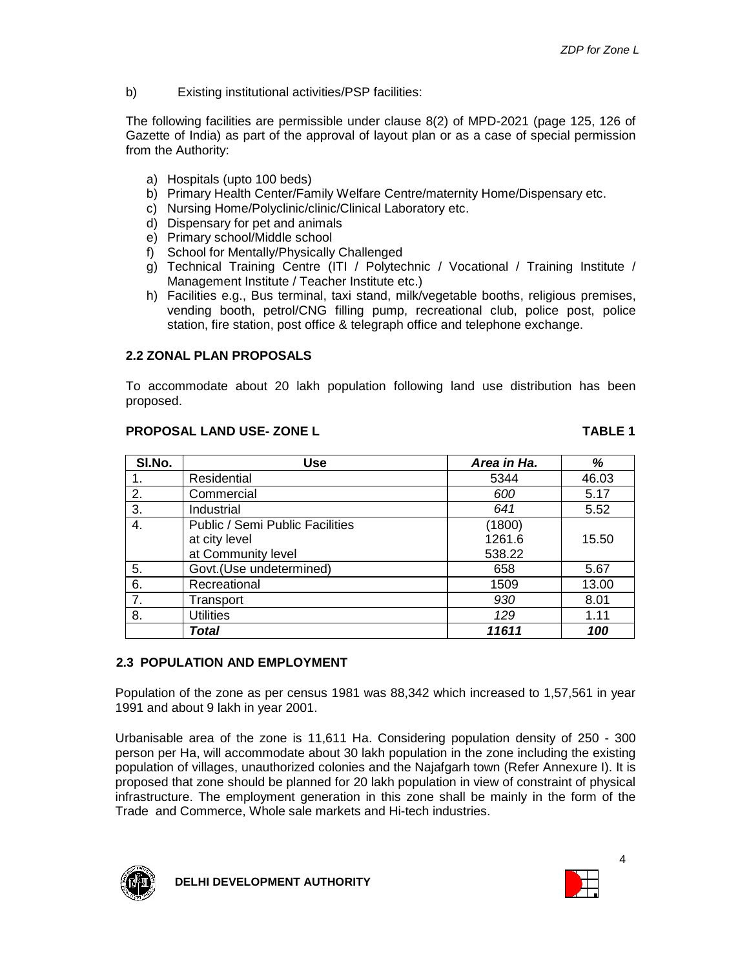b) Existing institutional activities/PSP facilities:

The following facilities are permissible under clause 8(2) of MPD-2021 (page 125, 126 of Gazette of India) as part of the approval of layout plan or as a case of special permission from the Authority:

- a) Hospitals (upto 100 beds)
- b) Primary Health Center/Family Welfare Centre/maternity Home/Dispensary etc.
- c) Nursing Home/Polyclinic/clinic/Clinical Laboratory etc.
- d) Dispensary for pet and animals
- e) Primary school/Middle school
- f) School for Mentally/Physically Challenged
- g) Technical Training Centre (ITI / Polytechnic / Vocational / Training Institute / Management Institute / Teacher Institute etc.)
- h) Facilities e.g., Bus terminal, taxi stand, milk/vegetable booths, religious premises, vending booth, petrol/CNG filling pump, recreational club, police post, police station, fire station, post office & telegraph office and telephone exchange.

#### **2.2 ZONAL PLAN PROPOSALS**

To accommodate about 20 lakh population following land use distribution has been proposed.

#### **PROPOSAL LAND USE- ZONE L TABLE 1**

| SI.No. | <b>Use</b>                             | Area in Ha. | %     |
|--------|----------------------------------------|-------------|-------|
|        | Residential                            | 5344        | 46.03 |
| 2.     | Commercial                             | 600         | 5.17  |
| 3.     | Industrial                             | 641         | 5.52  |
| 4.     | <b>Public / Semi Public Facilities</b> | (1800)      |       |
|        | at city level                          | 1261.6      | 15.50 |
|        | at Community level                     | 538.22      |       |
| 5.     | Govt.(Use undetermined)                | 658         | 5.67  |
| 6.     | Recreational                           | 1509        | 13.00 |
| 7.     | Transport                              | 930         | 8.01  |
| 8.     | <b>Utilities</b>                       | 129         | 1.11  |
|        | Total                                  | 11611       | 100   |

#### **2.3 POPULATION AND EMPLOYMENT**

Population of the zone as per census 1981 was 88,342 which increased to 1,57,561 in year 1991 and about 9 lakh in year 2001.

Urbanisable area of the zone is 11,611 Ha. Considering population density of 250 - 300 person per Ha, will accommodate about 30 lakh population in the zone including the existing population of villages, unauthorized colonies and the Najafgarh town (Refer Annexure I). It is proposed that zone should be planned for 20 lakh population in view of constraint of physical infrastructure. The employment generation in this zone shall be mainly in the form of the Trade and Commerce, Whole sale markets and Hi-tech industries.



**DELHI DEVELOPMENT AUTHORITY**

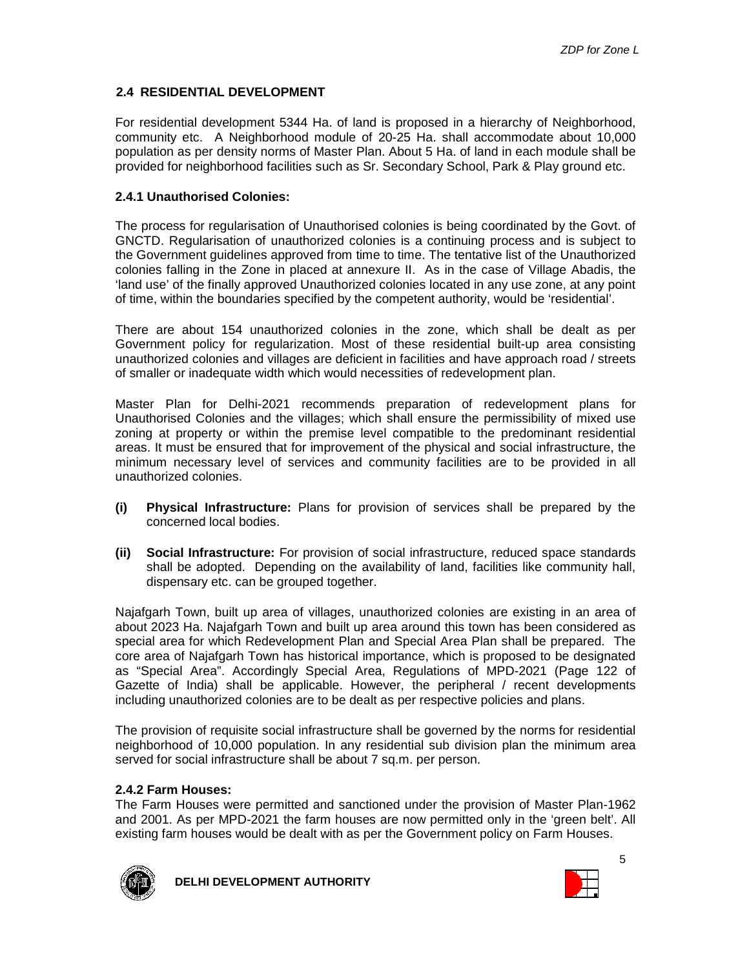#### **2.4 RESIDENTIAL DEVELOPMENT**

For residential development 5344 Ha. of land is proposed in a hierarchy of Neighborhood, community etc. A Neighborhood module of 20-25 Ha. shall accommodate about 10,000 population as per density norms of Master Plan. About 5 Ha. of land in each module shall be provided for neighborhood facilities such as Sr. Secondary School, Park & Play ground etc.

#### **2.4.1 Unauthorised Colonies:**

The process for regularisation of Unauthorised colonies is being coordinated by the Govt. of GNCTD. Regularisation of unauthorized colonies is a continuing process and is subject to the Government guidelines approved from time to time. The tentative list of the Unauthorized colonies falling in the Zone in placed at annexure II. As in the case of Village Abadis, the 'land use' of the finally approved Unauthorized colonies located in any use zone, at any point of time, within the boundaries specified by the competent authority, would be 'residential'.

There are about 154 unauthorized colonies in the zone, which shall be dealt as per Government policy for regularization. Most of these residential built-up area consisting unauthorized colonies and villages are deficient in facilities and have approach road / streets of smaller or inadequate width which would necessities of redevelopment plan.

Master Plan for Delhi-2021 recommends preparation of redevelopment plans for Unauthorised Colonies and the villages; which shall ensure the permissibility of mixed use zoning at property or within the premise level compatible to the predominant residential areas. It must be ensured that for improvement of the physical and social infrastructure, the minimum necessary level of services and community facilities are to be provided in all unauthorized colonies.

- **(i) Physical Infrastructure:** Plans for provision of services shall be prepared by the concerned local bodies.
- **(ii) Social Infrastructure:** For provision of social infrastructure, reduced space standards shall be adopted. Depending on the availability of land, facilities like community hall, dispensary etc. can be grouped together.

Najafgarh Town, built up area of villages, unauthorized colonies are existing in an area of about 2023 Ha. Najafgarh Town and built up area around this town has been considered as special area for which Redevelopment Plan and Special Area Plan shall be prepared. The core area of Najafgarh Town has historical importance, which is proposed to be designated as "Special Area". Accordingly Special Area, Regulations of MPD-2021 (Page 122 of Gazette of India) shall be applicable. However, the peripheral / recent developments including unauthorized colonies are to be dealt as per respective policies and plans.

The provision of requisite social infrastructure shall be governed by the norms for residential neighborhood of 10,000 population. In any residential sub division plan the minimum area served for social infrastructure shall be about 7 sq.m. per person.

#### **2.4.2 Farm Houses:**

The Farm Houses were permitted and sanctioned under the provision of Master Plan-1962 and 2001. As per MPD-2021 the farm houses are now permitted only in the 'green belt'. All existing farm houses would be dealt with as per the Government policy on Farm Houses.



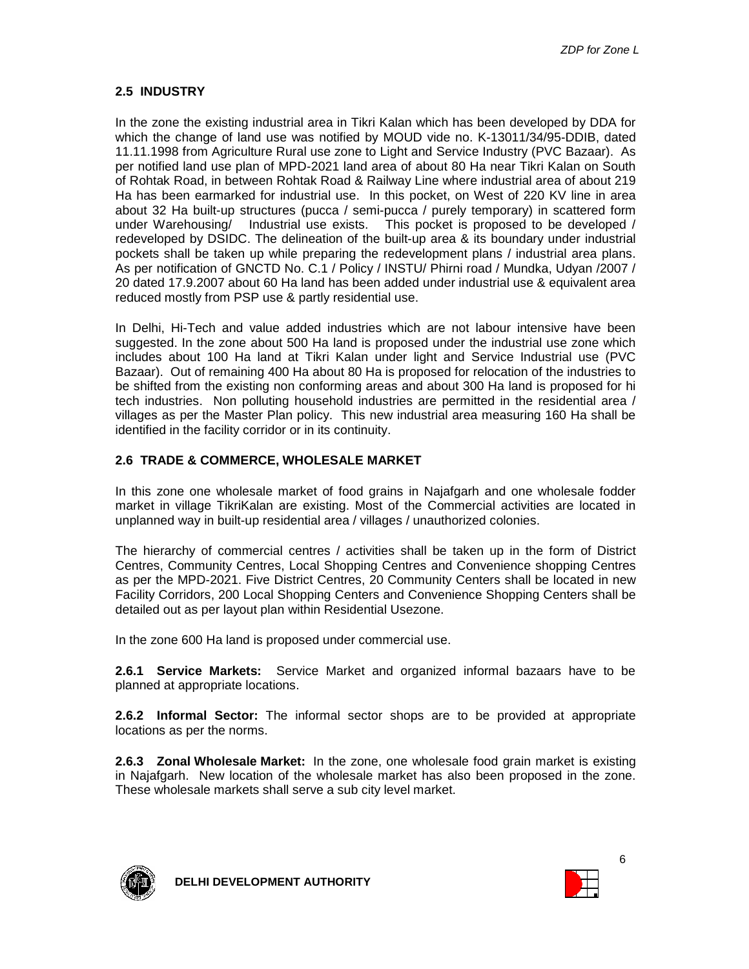#### **2.5 INDUSTRY**

In the zone the existing industrial area in Tikri Kalan which has been developed by DDA for which the change of land use was notified by MOUD vide no. K-13011/34/95-DDIB, dated 11.11.1998 from Agriculture Rural use zone to Light and Service Industry (PVC Bazaar). As per notified land use plan of MPD-2021 land area of about 80 Ha near Tikri Kalan on South of Rohtak Road, in between Rohtak Road & Railway Line where industrial area of about 219 Ha has been earmarked for industrial use. In this pocket, on West of 220 KV line in area about 32 Ha built-up structures (pucca / semi-pucca / purely temporary) in scattered form under Warehousing/ Industrial use exists. This pocket is proposed to be developed / redeveloped by DSIDC. The delineation of the built-up area & its boundary under industrial pockets shall be taken up while preparing the redevelopment plans / industrial area plans. As per notification of GNCTD No. C.1 / Policy / INSTU/ Phirni road / Mundka, Udyan /2007 / 20 dated 17.9.2007 about 60 Ha land has been added under industrial use & equivalent area reduced mostly from PSP use & partly residential use.

In Delhi, Hi-Tech and value added industries which are not labour intensive have been suggested. In the zone about 500 Ha land is proposed under the industrial use zone which includes about 100 Ha land at Tikri Kalan under light and Service Industrial use (PVC Bazaar). Out of remaining 400 Ha about 80 Ha is proposed for relocation of the industries to be shifted from the existing non conforming areas and about 300 Ha land is proposed for hi tech industries. Non polluting household industries are permitted in the residential area / villages as per the Master Plan policy. This new industrial area measuring 160 Ha shall be identified in the facility corridor or in its continuity.

#### **2.6 TRADE & COMMERCE, WHOLESALE MARKET**

In this zone one wholesale market of food grains in Najafgarh and one wholesale fodder market in village TikriKalan are existing. Most of the Commercial activities are located in unplanned way in built-up residential area / villages / unauthorized colonies.

The hierarchy of commercial centres / activities shall be taken up in the form of District Centres, Community Centres, Local Shopping Centres and Convenience shopping Centres as per the MPD-2021. Five District Centres, 20 Community Centers shall be located in new Facility Corridors, 200 Local Shopping Centers and Convenience Shopping Centers shall be detailed out as per layout plan within Residential Usezone.

In the zone 600 Ha land is proposed under commercial use.

**2.6.1 Service Markets:** Service Market and organized informal bazaars have to be planned at appropriate locations.

**2.6.2 Informal Sector:** The informal sector shops are to be provided at appropriate locations as per the norms.

**2.6.3 Zonal Wholesale Market:** In the zone, one wholesale food grain market is existing in Najafgarh. New location of the wholesale market has also been proposed in the zone. These wholesale markets shall serve a sub city level market.



**DELHI DEVELOPMENT AUTHORITY**

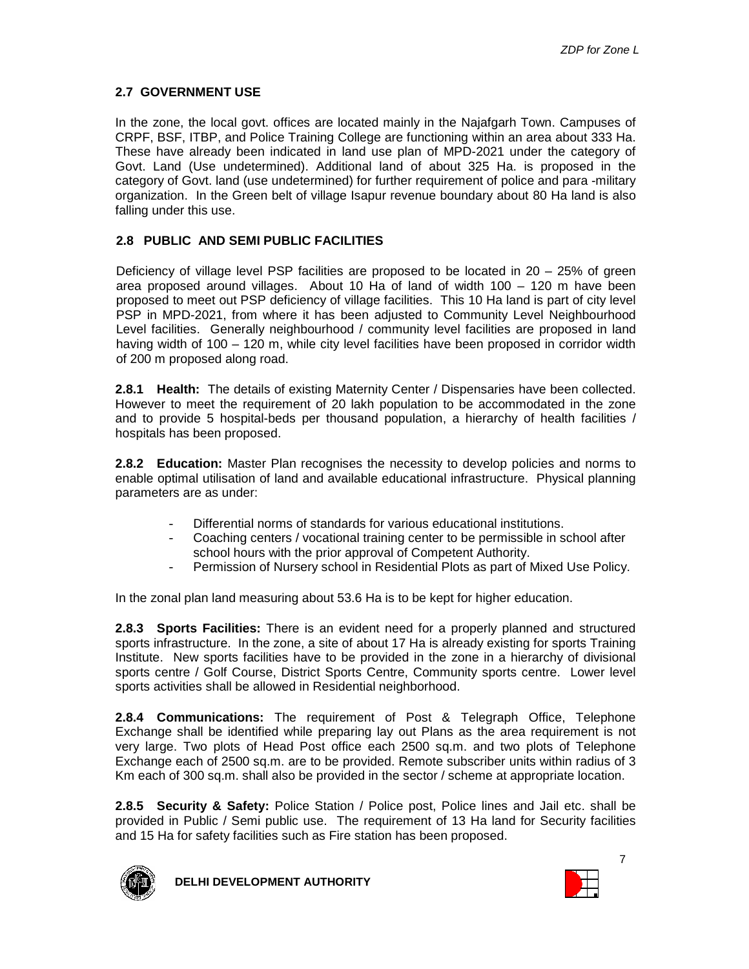#### **2.7 GOVERNMENT USE**

In the zone, the local govt. offices are located mainly in the Najafgarh Town. Campuses of CRPF, BSF, ITBP, and Police Training College are functioning within an area about 333 Ha. These have already been indicated in land use plan of MPD-2021 under the category of Govt. Land (Use undetermined). Additional land of about 325 Ha. is proposed in the category of Govt. land (use undetermined) for further requirement of police and para -military organization. In the Green belt of village Isapur revenue boundary about 80 Ha land is also falling under this use.

#### **2.8 PUBLIC AND SEMI PUBLIC FACILITIES**

Deficiency of village level PSP facilities are proposed to be located in 20 – 25% of green area proposed around villages. About 10 Ha of land of width 100 – 120 m have been proposed to meet out PSP deficiency of village facilities. This 10 Ha land is part of city level PSP in MPD-2021, from where it has been adjusted to Community Level Neighbourhood Level facilities. Generally neighbourhood / community level facilities are proposed in land having width of 100 – 120 m, while city level facilities have been proposed in corridor width of 200 m proposed along road.

**2.8.1 Health:** The details of existing Maternity Center / Dispensaries have been collected. However to meet the requirement of 20 lakh population to be accommodated in the zone and to provide 5 hospital-beds per thousand population, a hierarchy of health facilities / hospitals has been proposed.

**2.8.2 Education:** Master Plan recognises the necessity to develop policies and norms to enable optimal utilisation of land and available educational infrastructure. Physical planning parameters are as under:

- Differential norms of standards for various educational institutions.
- Coaching centers / vocational training center to be permissible in school after school hours with the prior approval of Competent Authority.
- Permission of Nursery school in Residential Plots as part of Mixed Use Policy.

In the zonal plan land measuring about 53.6 Ha is to be kept for higher education.

**2.8.3 Sports Facilities:** There is an evident need for a properly planned and structured sports infrastructure. In the zone, a site of about 17 Ha is already existing for sports Training Institute. New sports facilities have to be provided in the zone in a hierarchy of divisional sports centre / Golf Course, District Sports Centre, Community sports centre. Lower level sports activities shall be allowed in Residential neighborhood.

**2.8.4 Communications:** The requirement of Post & Telegraph Office, Telephone Exchange shall be identified while preparing lay out Plans as the area requirement is not very large. Two plots of Head Post office each 2500 sq.m. and two plots of Telephone Exchange each of 2500 sq.m. are to be provided. Remote subscriber units within radius of 3 Km each of 300 sq.m. shall also be provided in the sector / scheme at appropriate location.

**2.8.5 Security & Safety:** Police Station / Police post, Police lines and Jail etc. shall be provided in Public / Semi public use. The requirement of 13 Ha land for Security facilities and 15 Ha for safety facilities such as Fire station has been proposed.



**DELHI DEVELOPMENT AUTHORITY**

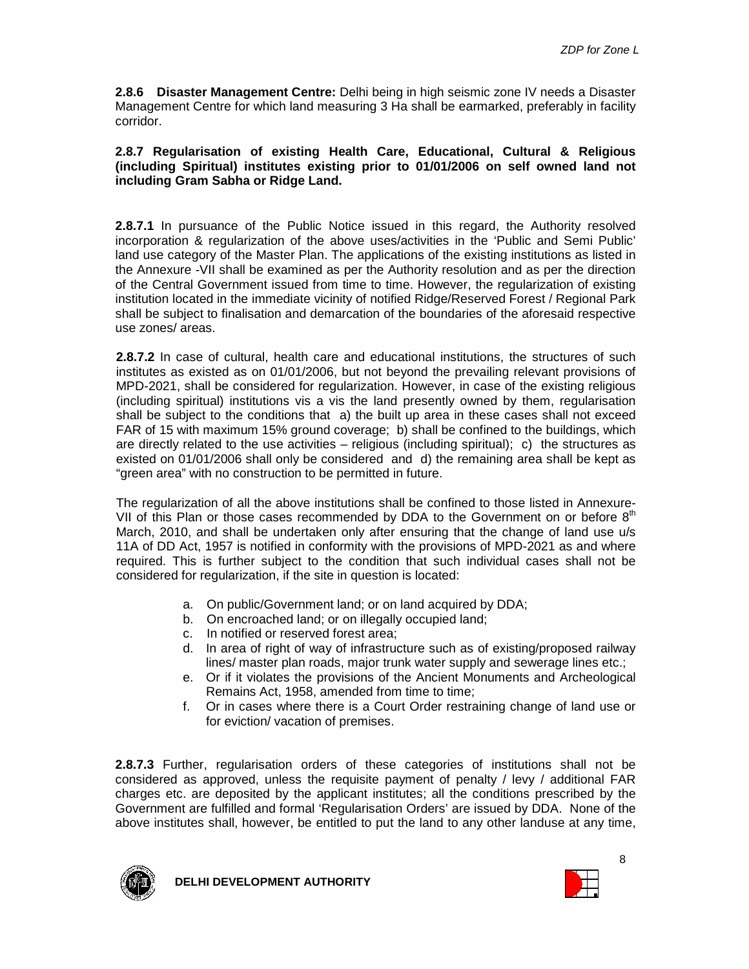**2.8.6 Disaster Management Centre:** Delhi being in high seismic zone IV needs a Disaster Management Centre for which land measuring 3 Ha shall be earmarked, preferably in facility corridor.

#### **2.8.7 Regularisation of existing Health Care, Educational, Cultural & Religious (including Spiritual) institutes existing prior to 01/01/2006 on self owned land not including Gram Sabha or Ridge Land.**

**2.8.7.1** In pursuance of the Public Notice issued in this regard, the Authority resolved incorporation & regularization of the above uses/activities in the 'Public and Semi Public' land use category of the Master Plan. The applications of the existing institutions as listed in the Annexure -VII shall be examined as per the Authority resolution and as per the direction of the Central Government issued from time to time. However, the regularization of existing institution located in the immediate vicinity of notified Ridge/Reserved Forest / Regional Park shall be subject to finalisation and demarcation of the boundaries of the aforesaid respective use zones/ areas.

**2.8.7.2** In case of cultural, health care and educational institutions, the structures of such institutes as existed as on 01/01/2006, but not beyond the prevailing relevant provisions of MPD-2021, shall be considered for regularization. However, in case of the existing religious (including spiritual) institutions vis a vis the land presently owned by them, regularisation shall be subject to the conditions that a) the built up area in these cases shall not exceed FAR of 15 with maximum 15% ground coverage; b) shall be confined to the buildings, which are directly related to the use activities – religious (including spiritual); c) the structures as existed on 01/01/2006 shall only be considered and d) the remaining area shall be kept as "green area" with no construction to be permitted in future.

The regularization of all the above institutions shall be confined to those listed in Annexure-VII of this Plan or those cases recommended by DDA to the Government on or before  $8<sup>th</sup>$ March, 2010, and shall be undertaken only after ensuring that the change of land use u/s 11A of DD Act, 1957 is notified in conformity with the provisions of MPD-2021 as and where required. This is further subject to the condition that such individual cases shall not be considered for regularization, if the site in question is located:

- a. On public/Government land; or on land acquired by DDA;
- b. On encroached land; or on illegally occupied land;
- c. In notified or reserved forest area;
- d. In area of right of way of infrastructure such as of existing/proposed railway lines/ master plan roads, major trunk water supply and sewerage lines etc.;
- e. Or if it violates the provisions of the Ancient Monuments and Archeological Remains Act, 1958, amended from time to time;
- f. Or in cases where there is a Court Order restraining change of land use or for eviction/ vacation of premises.

**2.8.7.3** Further, regularisation orders of these categories of institutions shall not be considered as approved, unless the requisite payment of penalty / levy / additional FAR charges etc. are deposited by the applicant institutes; all the conditions prescribed by the Government are fulfilled and formal 'Regularisation Orders' are issued by DDA. None of the above institutes shall, however, be entitled to put the land to any other landuse at any time,



**DELHI DEVELOPMENT AUTHORITY**

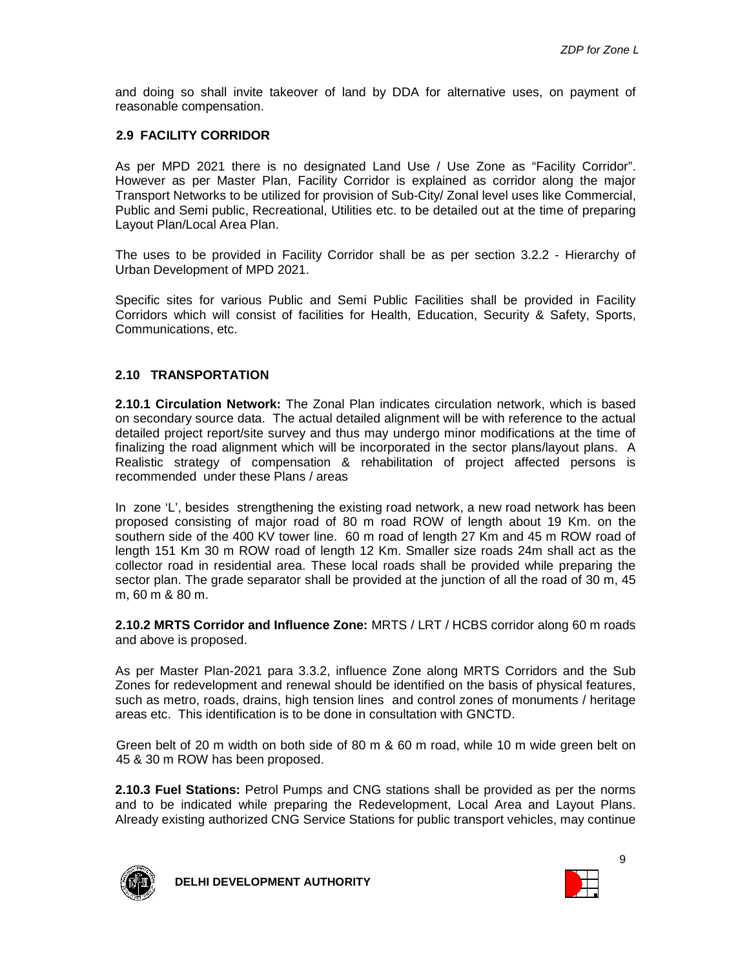and doing so shall invite takeover of land by DDA for alternative uses, on payment of reasonable compensation.

#### **2.9 FACILITY CORRIDOR**

As per MPD 2021 there is no designated Land Use / Use Zone as "Facility Corridor". However as per Master Plan, Facility Corridor is explained as corridor along the major Transport Networks to be utilized for provision of Sub-City/ Zonal level uses like Commercial, Public and Semi public, Recreational, Utilities etc. to be detailed out at the time of preparing Layout Plan/Local Area Plan.

The uses to be provided in Facility Corridor shall be as per section 3.2.2 - Hierarchy of Urban Development of MPD 2021.

Specific sites for various Public and Semi Public Facilities shall be provided in Facility Corridors which will consist of facilities for Health, Education, Security & Safety, Sports, Communications, etc.

#### **2.10 TRANSPORTATION**

**2.10.1 Circulation Network:** The Zonal Plan indicates circulation network, which is based on secondary source data. The actual detailed alignment will be with reference to the actual detailed project report/site survey and thus may undergo minor modifications at the time of finalizing the road alignment which will be incorporated in the sector plans/layout plans. A Realistic strategy of compensation & rehabilitation of project affected persons is recommended under these Plans / areas

In zone 'L', besides strengthening the existing road network, a new road network has been proposed consisting of major road of 80 m road ROW of length about 19 Km. on the southern side of the 400 KV tower line. 60 m road of length 27 Km and 45 m ROW road of length 151 Km 30 m ROW road of length 12 Km. Smaller size roads 24m shall act as the collector road in residential area. These local roads shall be provided while preparing the sector plan. The grade separator shall be provided at the junction of all the road of 30 m, 45 m, 60 m & 80 m.

**2.10.2 MRTS Corridor and Influence Zone:** MRTS / LRT / HCBS corridor along 60 m roads and above is proposed.

As per Master Plan-2021 para 3.3.2, influence Zone along MRTS Corridors and the Sub Zones for redevelopment and renewal should be identified on the basis of physical features, such as metro, roads, drains, high tension lines and control zones of monuments / heritage areas etc. This identification is to be done in consultation with GNCTD.

Green belt of 20 m width on both side of 80 m & 60 m road, while 10 m wide green belt on 45 & 30 m ROW has been proposed.

**2.10.3 Fuel Stations:** Petrol Pumps and CNG stations shall be provided as per the norms and to be indicated while preparing the Redevelopment, Local Area and Layout Plans. Already existing authorized CNG Service Stations for public transport vehicles, may continue



**DELHI DEVELOPMENT AUTHORITY**

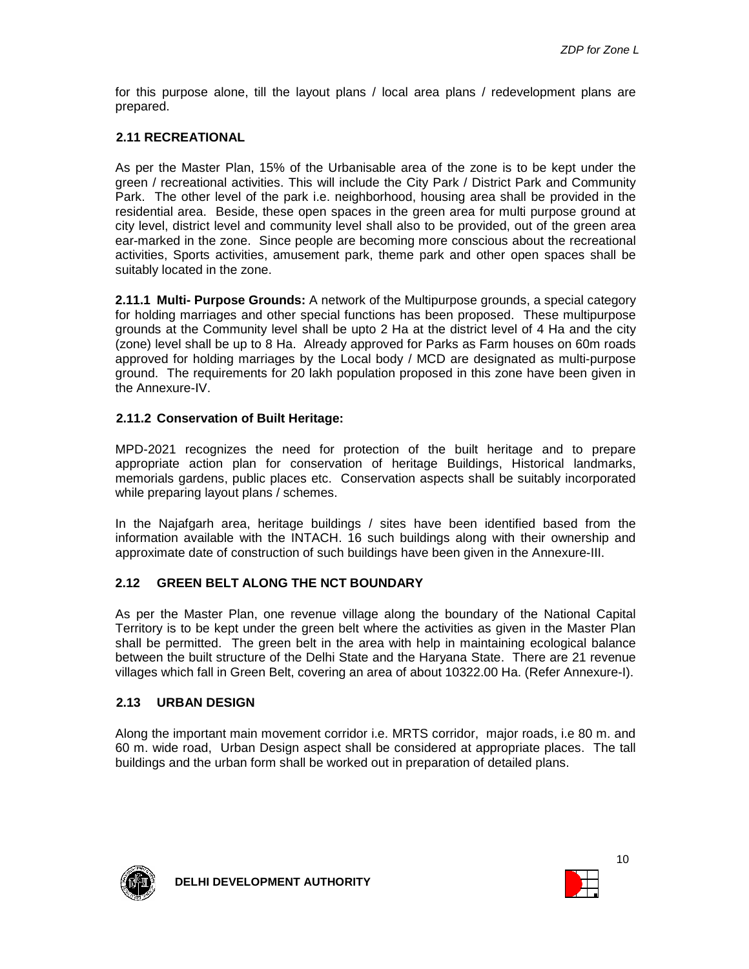for this purpose alone, till the layout plans / local area plans / redevelopment plans are prepared.

#### **2.11 RECREATIONAL**

As per the Master Plan, 15% of the Urbanisable area of the zone is to be kept under the green / recreational activities. This will include the City Park / District Park and Community Park. The other level of the park i.e. neighborhood, housing area shall be provided in the residential area. Beside, these open spaces in the green area for multi purpose ground at city level, district level and community level shall also to be provided, out of the green area ear-marked in the zone. Since people are becoming more conscious about the recreational activities, Sports activities, amusement park, theme park and other open spaces shall be suitably located in the zone.

**2.11.1 Multi- Purpose Grounds:** A network of the Multipurpose grounds, a special category for holding marriages and other special functions has been proposed. These multipurpose grounds at the Community level shall be upto 2 Ha at the district level of 4 Ha and the city (zone) level shall be up to 8 Ha. Already approved for Parks as Farm houses on 60m roads approved for holding marriages by the Local body / MCD are designated as multi-purpose ground. The requirements for 20 lakh population proposed in this zone have been given in the Annexure-IV.

#### **2.11.2 Conservation of Built Heritage:**

MPD-2021 recognizes the need for protection of the built heritage and to prepare appropriate action plan for conservation of heritage Buildings, Historical landmarks, memorials gardens, public places etc. Conservation aspects shall be suitably incorporated while preparing layout plans / schemes.

In the Najafgarh area, heritage buildings / sites have been identified based from the information available with the INTACH. 16 such buildings along with their ownership and approximate date of construction of such buildings have been given in the Annexure-III.

#### **2.12 GREEN BELT ALONG THE NCT BOUNDARY**

As per the Master Plan, one revenue village along the boundary of the National Capital Territory is to be kept under the green belt where the activities as given in the Master Plan shall be permitted. The green belt in the area with help in maintaining ecological balance between the built structure of the Delhi State and the Haryana State. There are 21 revenue villages which fall in Green Belt, covering an area of about 10322.00 Ha. (Refer Annexure-I).

#### **2.13 URBAN DESIGN**

Along the important main movement corridor i.e. MRTS corridor, major roads, i.e 80 m. and 60 m. wide road, Urban Design aspect shall be considered at appropriate places. The tall buildings and the urban form shall be worked out in preparation of detailed plans.



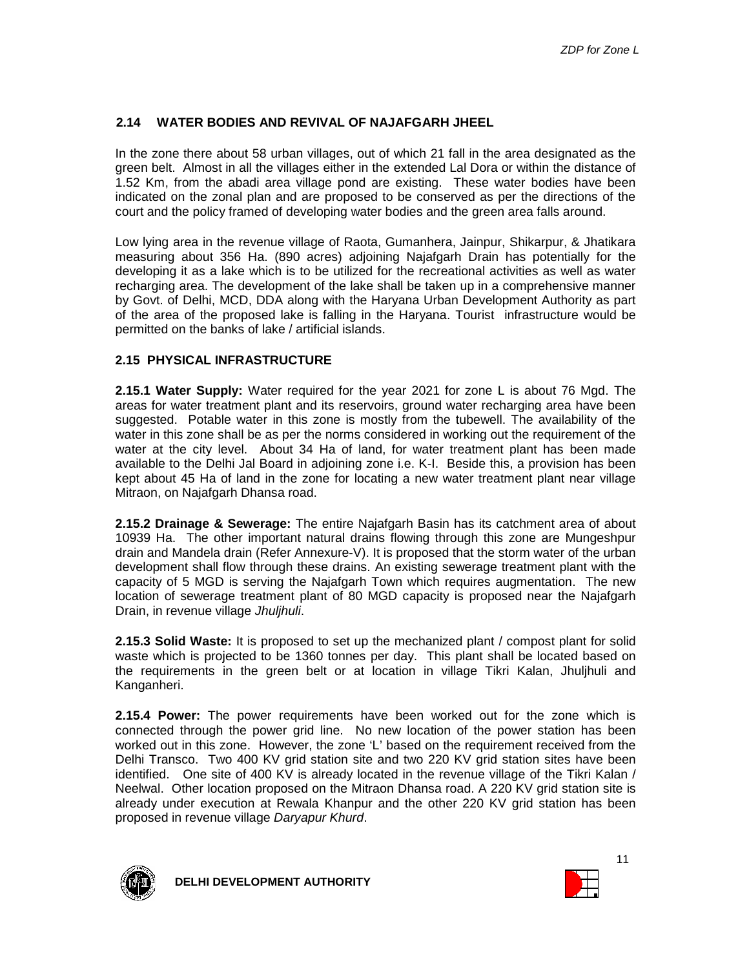#### **2.14 WATER BODIES AND REVIVAL OF NAJAFGARH JHEEL**

In the zone there about 58 urban villages, out of which 21 fall in the area designated as the green belt. Almost in all the villages either in the extended Lal Dora or within the distance of 1.52 Km, from the abadi area village pond are existing. These water bodies have been indicated on the zonal plan and are proposed to be conserved as per the directions of the court and the policy framed of developing water bodies and the green area falls around.

Low lying area in the revenue village of Raota, Gumanhera, Jainpur, Shikarpur, & Jhatikara measuring about 356 Ha. (890 acres) adjoining Najafgarh Drain has potentially for the developing it as a lake which is to be utilized for the recreational activities as well as water recharging area. The development of the lake shall be taken up in a comprehensive manner by Govt. of Delhi, MCD, DDA along with the Haryana Urban Development Authority as part of the area of the proposed lake is falling in the Haryana. Tourist infrastructure would be permitted on the banks of lake / artificial islands.

#### **2.15 PHYSICAL INFRASTRUCTURE**

**2.15.1 Water Supply:** Water required for the year 2021 for zone L is about 76 Mgd. The areas for water treatment plant and its reservoirs, ground water recharging area have been suggested. Potable water in this zone is mostly from the tubewell. The availability of the water in this zone shall be as per the norms considered in working out the requirement of the water at the city level. About 34 Ha of land, for water treatment plant has been made available to the Delhi Jal Board in adjoining zone i.e. K-I. Beside this, a provision has been kept about 45 Ha of land in the zone for locating a new water treatment plant near village Mitraon, on Najafgarh Dhansa road.

**2.15.2 Drainage & Sewerage:** The entire Najafgarh Basin has its catchment area of about 10939 Ha. The other important natural drains flowing through this zone are Mungeshpur drain and Mandela drain (Refer Annexure-V). It is proposed that the storm water of the urban development shall flow through these drains. An existing sewerage treatment plant with the capacity of 5 MGD is serving the Najafgarh Town which requires augmentation. The new location of sewerage treatment plant of 80 MGD capacity is proposed near the Najafgarh Drain, in revenue village Jhuljhuli.

**2.15.3 Solid Waste:** It is proposed to set up the mechanized plant / compost plant for solid waste which is projected to be 1360 tonnes per day. This plant shall be located based on the requirements in the green belt or at location in village Tikri Kalan, Jhuljhuli and Kanganheri.

**2.15.4 Power:** The power requirements have been worked out for the zone which is connected through the power grid line. No new location of the power station has been worked out in this zone. However, the zone 'L' based on the requirement received from the Delhi Transco. Two 400 KV grid station site and two 220 KV grid station sites have been identified. One site of 400 KV is already located in the revenue village of the Tikri Kalan / Neelwal. Other location proposed on the Mitraon Dhansa road. A 220 KV grid station site is already under execution at Rewala Khanpur and the other 220 KV grid station has been proposed in revenue village Daryapur Khurd.



**DELHI DEVELOPMENT AUTHORITY**

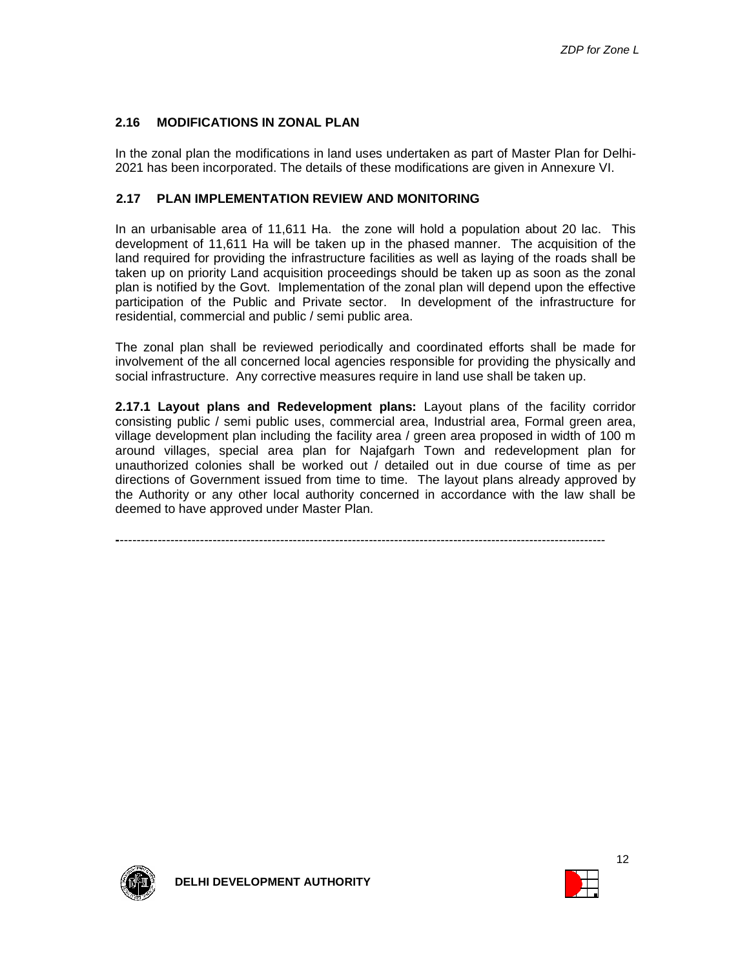#### **2.16 MODIFICATIONS IN ZONAL PLAN**

In the zonal plan the modifications in land uses undertaken as part of Master Plan for Delhi-2021 has been incorporated. The details of these modifications are given in Annexure VI.

#### **2.17 PLAN IMPLEMENTATION REVIEW AND MONITORING**

In an urbanisable area of 11,611 Ha. the zone will hold a population about 20 lac. This development of 11,611 Ha will be taken up in the phased manner. The acquisition of the land required for providing the infrastructure facilities as well as laying of the roads shall be taken up on priority Land acquisition proceedings should be taken up as soon as the zonal plan is notified by the Govt. Implementation of the zonal plan will depend upon the effective participation of the Public and Private sector. In development of the infrastructure for residential, commercial and public / semi public area.

The zonal plan shall be reviewed periodically and coordinated efforts shall be made for involvement of the all concerned local agencies responsible for providing the physically and social infrastructure. Any corrective measures require in land use shall be taken up.

**2.17.1 Layout plans and Redevelopment plans:** Layout plans of the facility corridor consisting public / semi public uses, commercial area, Industrial area, Formal green area, village development plan including the facility area / green area proposed in width of 100 m around villages, special area plan for Najafgarh Town and redevelopment plan for unauthorized colonies shall be worked out / detailed out in due course of time as per directions of Government issued from time to time. The layout plans already approved by the Authority or any other local authority concerned in accordance with the law shall be deemed to have approved under Master Plan.

**-**-------------------------------------------------------------------------------------------------------------------



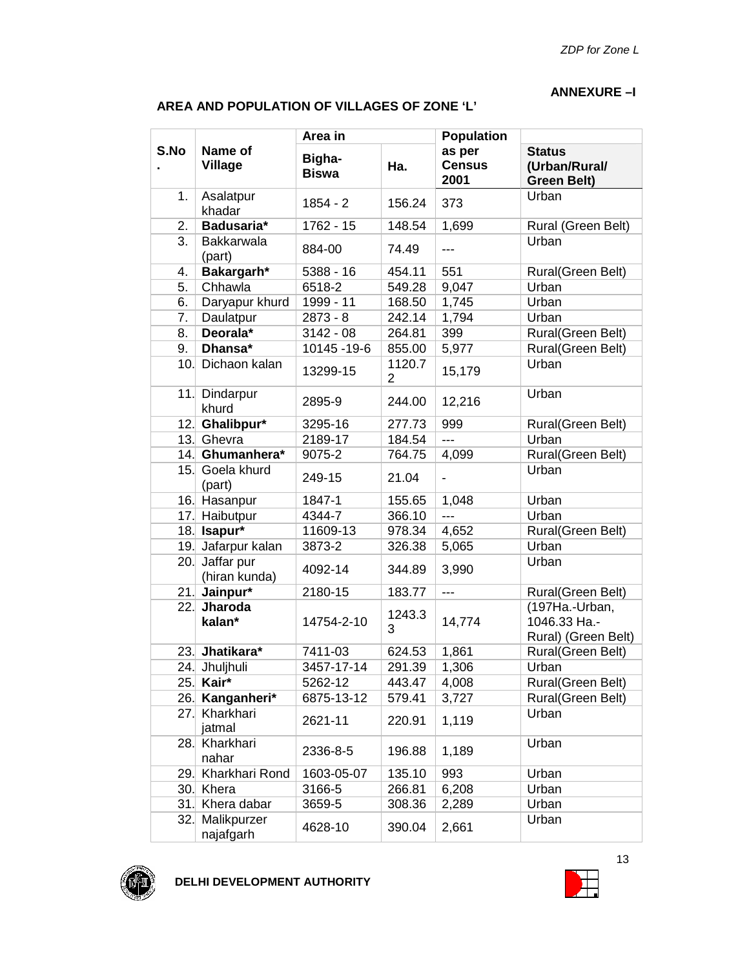#### **ANNEXURE –I**

| AREA AND POPULATION OF VILLAGES OF ZONE 'L' |  |
|---------------------------------------------|--|
|---------------------------------------------|--|

|      |                             | Area in                |                          | <b>Population</b>               |                                                       |  |
|------|-----------------------------|------------------------|--------------------------|---------------------------------|-------------------------------------------------------|--|
| S.No | Name of<br><b>Village</b>   | Bigha-<br><b>Biswa</b> | Ha.                      | as per<br><b>Census</b><br>2001 | <b>Status</b><br>(Urban/Rural/<br><b>Green Belt)</b>  |  |
| 1.   | Asalatpur<br>khadar         | $1854 - 2$             | 156.24                   | 373                             | Urban                                                 |  |
| 2.   | Badusaria*                  | 1762 - 15              | 148.54                   | 1,699                           | Rural (Green Belt)                                    |  |
| 3.   | <b>Bakkarwala</b><br>(part) | 884-00                 | 74.49                    | ---                             | Urban                                                 |  |
| 4.   | Bakargarh*                  | 5388 - 16              | 454.11                   | 551                             | Rural(Green Belt)                                     |  |
| 5.   | Chhawla                     | 6518-2                 | 549.28                   | 9,047                           | Urban                                                 |  |
| 6.   | Daryapur khurd              | 1999 - 11              | 168.50                   | 1,745                           | Urban                                                 |  |
| 7.   | Daulatpur                   | $2873 - 8$             | 242.14                   | 1,794                           | Urban                                                 |  |
| 8.   | Deorala*                    | $3142 - 08$            | 264.81                   | 399                             | Rural(Green Belt)                                     |  |
| 9.   | Dhansa*                     | 10145 - 19-6           | 855.00                   | 5,977                           | Rural(Green Belt)                                     |  |
| 10.  | Dichaon kalan               | 13299-15               | 1120.7<br>$\overline{2}$ | 15,179                          | Urban                                                 |  |
| 11.  | Dindarpur<br>khurd          | 2895-9                 | 244.00                   | 12,216                          | Urban                                                 |  |
| 12.  | Ghalibpur*                  | 3295-16                | 277.73                   | 999                             | Rural(Green Belt)                                     |  |
|      | 13. Ghevra                  | 2189-17                | 184.54                   | ---                             | Urban                                                 |  |
| 14.  | Ghumanhera*                 | 9075-2                 | 764.75                   | 4,099                           | Rural(Green Belt)                                     |  |
| 15.  | Goela khurd<br>(part)       | 249-15                 | 21.04                    | $\blacksquare$                  | Urban                                                 |  |
|      | 16. Hasanpur                | 1847-1                 | 155.65                   | 1,048                           | Urban                                                 |  |
| 17.  | Haibutpur                   | 4344-7                 | 366.10                   | ---                             | Urban                                                 |  |
|      | 18. Isapur*                 | 11609-13               | 978.34                   | 4,652                           | Rural(Green Belt)                                     |  |
| 19.  | Jafarpur kalan              | 3873-2                 | 326.38                   | 5,065                           | Urban                                                 |  |
| 20.  | Jaffar pur<br>(hiran kunda) | 4092-14                | 344.89                   | 3,990                           | Urban                                                 |  |
| 21.  | Jainpur*                    | 2180-15                | 183.77                   | ---                             | Rural(Green Belt)                                     |  |
| 22.  | Jharoda<br>kalan*           | 14754-2-10             | 1243.3<br>3              | 14,774                          | (197Ha.-Urban,<br>1046.33 Ha.-<br>Rural) (Green Belt) |  |
| 23.  | Jhatikara*                  | 7411-03                | 624.53                   | 1,861                           | Rural(Green Belt)                                     |  |
|      | 24. Jhulihuli               | 3457-17-14             | 291.39                   | 1,306                           | Urban                                                 |  |
| 25.  | Kair*                       | 5262-12                | 443.47                   | 4,008                           | Rural(Green Belt)                                     |  |
| 26.  | Kanganheri*                 | 6875-13-12             | 579.41                   | 3,727                           | Rural(Green Belt)                                     |  |
| 27.  | Kharkhari<br>jatmal         | 2621-11                | 220.91                   | 1,119                           | Urban                                                 |  |
| 28.  | Kharkhari<br>nahar          | 2336-8-5               | 196.88                   | 1,189                           | Urban                                                 |  |
| 29.  | Kharkhari Rond              | 1603-05-07             | 135.10                   | 993                             | Urban                                                 |  |
| 30.  | Khera                       | 3166-5                 | 266.81                   | 6,208                           | Urban                                                 |  |
| 31.  | Khera dabar                 | 3659-5                 | 308.36                   | 2,289                           | Urban                                                 |  |
| 32.  | Malikpurzer<br>najafgarh    | 4628-10                | 390.04                   | 2,661                           | Urban                                                 |  |



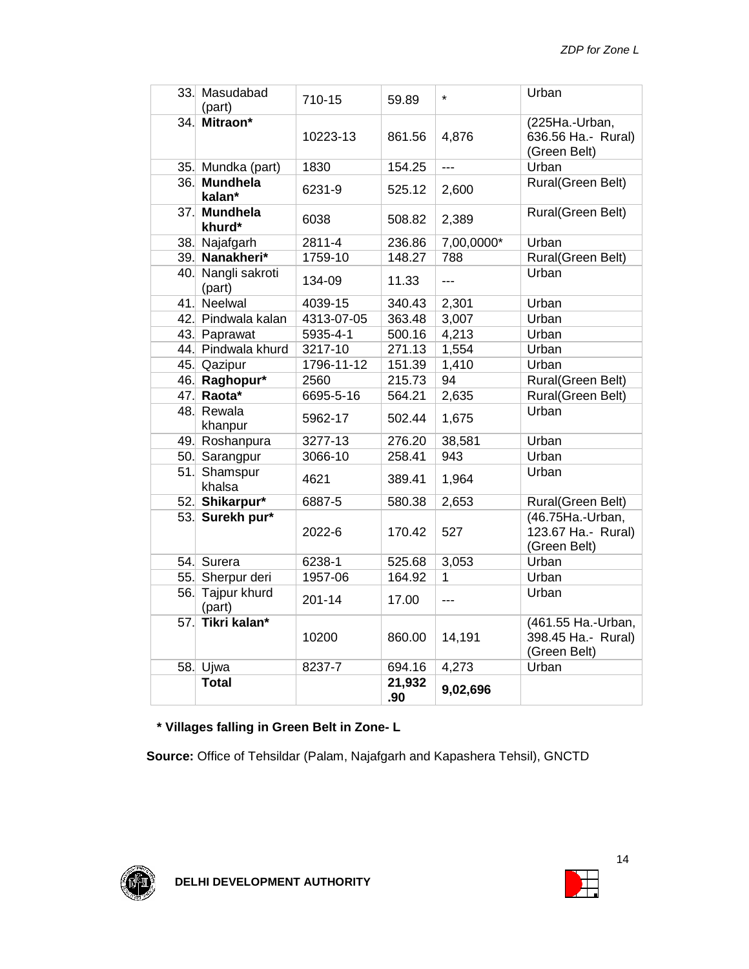|     | 33. Masudabad<br>(part)      | 710-15     | 59.89         | $\star$        | Urban                                                    |
|-----|------------------------------|------------|---------------|----------------|----------------------------------------------------------|
|     | 34. Mitraon*                 | 10223-13   | 861.56        | 4,876          | (225Ha.-Urban,<br>636.56 Ha.- Rural)<br>(Green Belt)     |
| 35. | Mundka (part)                | 1830       | 154.25        | $\overline{a}$ | Urban                                                    |
| 36. | <b>Mundhela</b><br>kalan*    | 6231-9     | 525.12        | 2,600          | Rural(Green Belt)                                        |
|     | 37. Mundhela<br>khurd*       | 6038       | 508.82        | 2,389          | Rural(Green Belt)                                        |
| 38. | Najafgarh                    | 2811-4     | 236.86        | 7,00,0000*     | Urban                                                    |
|     | 39. Nanakheri*               | 1759-10    | 148.27        | 788            | Rural(Green Belt)                                        |
|     | 40. Nangli sakroti<br>(part) | 134-09     | 11.33         | $- - -$        | Urban                                                    |
|     | 41. Neelwal                  | 4039-15    | 340.43        | 2,301          | Urban                                                    |
| 42. | Pindwala kalan               | 4313-07-05 | 363.48        | 3,007          | Urban                                                    |
|     | 43. Paprawat                 | 5935-4-1   | 500.16        | 4,213          | Urban                                                    |
|     | 44. Pindwala khurd           | 3217-10    | 271.13        | 1,554          | Urban                                                    |
| 45. | Qazipur                      | 1796-11-12 | 151.39        | 1,410          | Urban                                                    |
| 46. | Raghopur*                    | 2560       | 215.73        | 94             | Rural(Green Belt)                                        |
|     | 47. Raota*                   | 6695-5-16  | 564.21        | 2,635          | Rural(Green Belt)                                        |
|     | 48. Rewala<br>khanpur        | 5962-17    | 502.44        | 1,675          | Urban                                                    |
|     | 49. Roshanpura               | 3277-13    | 276.20        | 38,581         | Urban                                                    |
| 50. | Sarangpur                    | 3066-10    | 258.41        | 943            | Urban                                                    |
| 51. | Shamspur<br>khalsa           | 4621       | 389.41        | 1,964          | Urban                                                    |
| 52. | Shikarpur*                   | 6887-5     | 580.38        | 2,653          | Rural(Green Belt)                                        |
| 53. | Surekh pur*                  | 2022-6     | 170.42        | 527            | (46.75Ha.-Urban,<br>123.67 Ha.- Rural)<br>(Green Belt)   |
|     | 54. Surera                   | 6238-1     | 525.68        | 3,053          | Urban                                                    |
| 55. | Sherpur deri                 | 1957-06    | 164.92        | 1              | Urban                                                    |
| 56. | Tajpur khurd<br>(part)       | $201 - 14$ | 17.00         | $ -$           | Urban                                                    |
| 57. | Tikri kalan*                 | 10200      | 860.00        | 14,191         | (461.55 Ha.-Urban,<br>398.45 Ha.- Rural)<br>(Green Belt) |
| 58. | Ujwa                         | 8237-7     | 694.16        | 4,273          | Urban                                                    |
|     | <b>Total</b>                 |            | 21,932<br>.90 | 9,02,696       |                                                          |

## **\* Villages falling in Green Belt in Zone- L**

**Source:** Office of Tehsildar (Palam, Najafgarh and Kapashera Tehsil), GNCTD



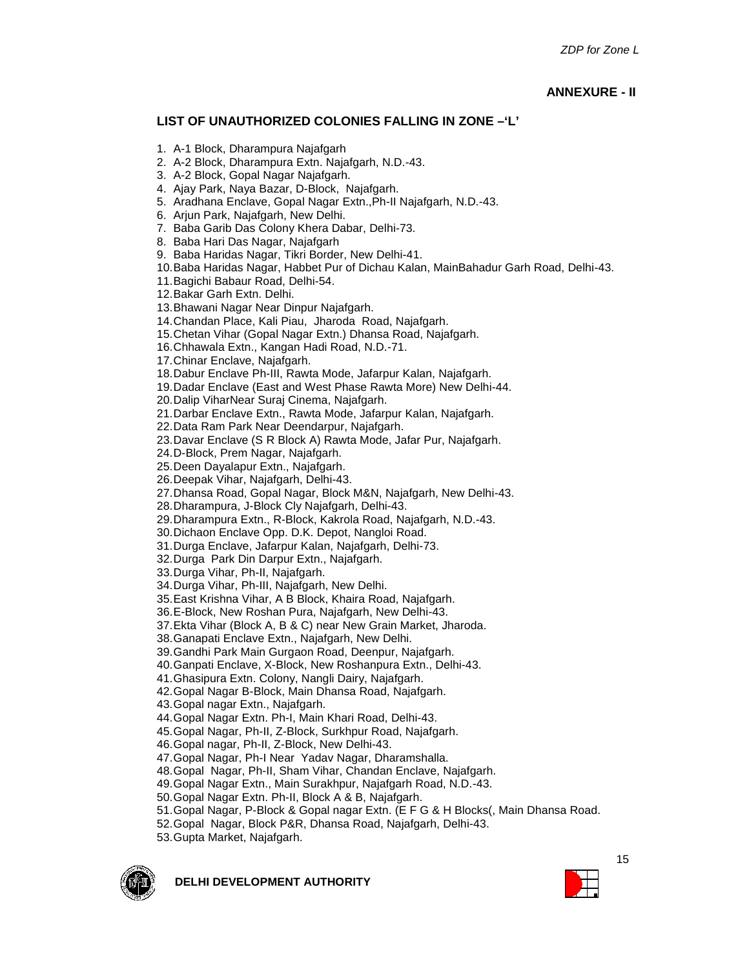#### **ANNEXURE - II**

#### **LIST OF UNAUTHORIZED COLONIES FALLING IN ZONE –'L'**

- 1. A-1 Block, Dharampura Najafgarh
- 2. A-2 Block, Dharampura Extn. Najafgarh, N.D.-43.
- 3. A-2 Block, Gopal Nagar Najafgarh.
- 4. Ajay Park, Naya Bazar, D-Block, Najafgarh.
- 5. Aradhana Enclave, Gopal Nagar Extn.,Ph-II Najafgarh, N.D.-43.
- 6. Arjun Park, Najafgarh, New Delhi.
- 7. Baba Garib Das Colony Khera Dabar, Delhi-73.
- 8. Baba Hari Das Nagar, Najafgarh
- 9. Baba Haridas Nagar, Tikri Border, New Delhi-41.
- 10.Baba Haridas Nagar, Habbet Pur of Dichau Kalan, MainBahadur Garh Road, Delhi-43.

11.Bagichi Babaur Road, Delhi-54.

12.Bakar Garh Extn. Delhi.

13.Bhawani Nagar Near Dinpur Najafgarh.

14.Chandan Place, Kali Piau, Jharoda Road, Najafgarh.

15.Chetan Vihar (Gopal Nagar Extn.) Dhansa Road, Najafgarh.

16.Chhawala Extn., Kangan Hadi Road, N.D.-71.

17.Chinar Enclave, Najafgarh.

18.Dabur Enclave Ph-III, Rawta Mode, Jafarpur Kalan, Najafgarh.

19.Dadar Enclave (East and West Phase Rawta More) New Delhi-44.

20.Dalip ViharNear Suraj Cinema, Najafgarh.

21.Darbar Enclave Extn., Rawta Mode, Jafarpur Kalan, Najafgarh.

22.Data Ram Park Near Deendarpur, Najafgarh.

23.Davar Enclave (S R Block A) Rawta Mode, Jafar Pur, Najafgarh.

24.D-Block, Prem Nagar, Najafgarh.

25.Deen Dayalapur Extn., Najafgarh.

26.Deepak Vihar, Najafgarh, Delhi-43.

27.Dhansa Road, Gopal Nagar, Block M&N, Najafgarh, New Delhi-43.

28.Dharampura, J-Block Cly Najafgarh, Delhi-43.

29.Dharampura Extn., R-Block, Kakrola Road, Najafgarh, N.D.-43.

30.Dichaon Enclave Opp. D.K. Depot, Nangloi Road.

31.Durga Enclave, Jafarpur Kalan, Najafgarh, Delhi-73.

32.Durga Park Din Darpur Extn., Najafgarh.

33.Durga Vihar, Ph-II, Najafgarh.

34.Durga Vihar, Ph-III, Najafgarh, New Delhi.

35.East Krishna Vihar, A B Block, Khaira Road, Najafgarh.

36.E-Block, New Roshan Pura, Najafgarh, New Delhi-43.

37.Ekta Vihar (Block A, B & C) near New Grain Market, Jharoda.

38.Ganapati Enclave Extn., Najafgarh, New Delhi.

39.Gandhi Park Main Gurgaon Road, Deenpur, Najafgarh.

40.Ganpati Enclave, X-Block, New Roshanpura Extn., Delhi-43.

41.Ghasipura Extn. Colony, Nangli Dairy, Najafgarh.

42.Gopal Nagar B-Block, Main Dhansa Road, Najafgarh.

43.Gopal nagar Extn., Najafgarh.

44.Gopal Nagar Extn. Ph-I, Main Khari Road, Delhi-43.

45.Gopal Nagar, Ph-II, Z-Block, Surkhpur Road, Najafgarh.

46.Gopal nagar, Ph-II, Z-Block, New Delhi-43.

47.Gopal Nagar, Ph-I Near Yadav Nagar, Dharamshalla.

48.Gopal Nagar, Ph-II, Sham Vihar, Chandan Enclave, Najafgarh.

49.Gopal Nagar Extn., Main Surakhpur, Najafgarh Road, N.D.-43.

50.Gopal Nagar Extn. Ph-II, Block A & B, Najafgarh.

51.Gopal Nagar, P-Block & Gopal nagar Extn. (E F G & H Blocks(, Main Dhansa Road.

52.Gopal Nagar, Block P&R, Dhansa Road, Najafgarh, Delhi-43.

53.Gupta Market, Najafgarh.



**DELHI DEVELOPMENT AUTHORITY**

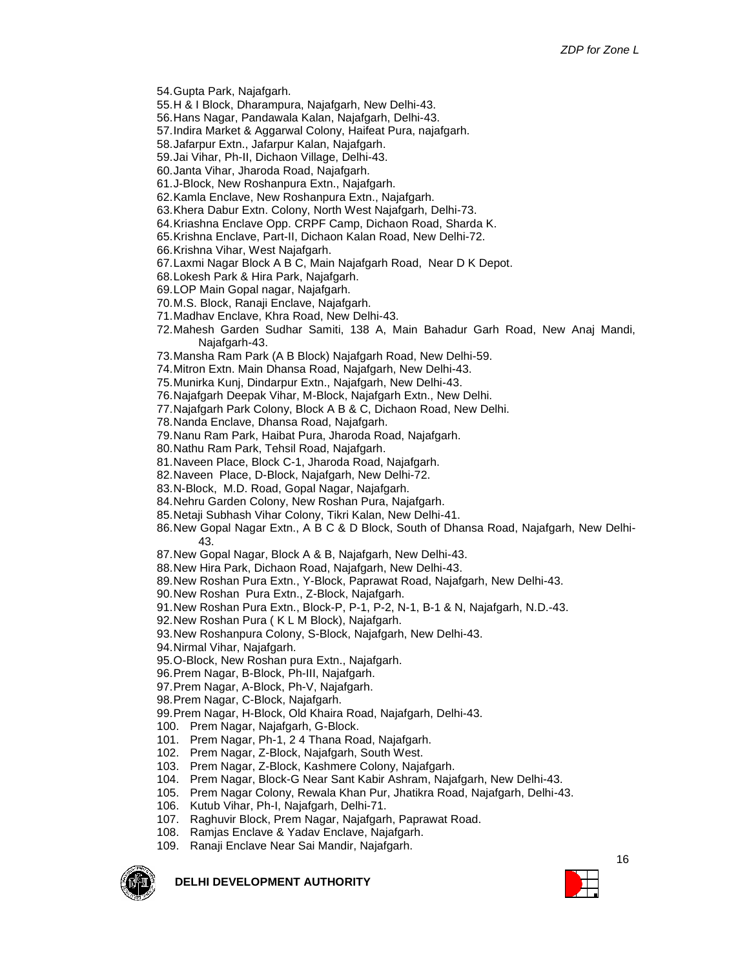- 54.Gupta Park, Najafgarh.
- 55.H & I Block, Dharampura, Najafgarh, New Delhi-43.
- 56.Hans Nagar, Pandawala Kalan, Najafgarh, Delhi-43.
- 57.Indira Market & Aggarwal Colony, Haifeat Pura, najafgarh.
- 58.Jafarpur Extn., Jafarpur Kalan, Najafgarh.
- 59.Jai Vihar, Ph-II, Dichaon Village, Delhi-43.
- 60.Janta Vihar, Jharoda Road, Najafgarh.
- 61.J-Block, New Roshanpura Extn., Najafgarh.
- 62.Kamla Enclave, New Roshanpura Extn., Najafgarh.
- 63.Khera Dabur Extn. Colony, North West Najafgarh, Delhi-73.
- 64.Kriashna Enclave Opp. CRPF Camp, Dichaon Road, Sharda K.
- 65.Krishna Enclave, Part-II, Dichaon Kalan Road, New Delhi-72.
- 66.Krishna Vihar, West Najafgarh.
- 67.Laxmi Nagar Block A B C, Main Najafgarh Road, Near D K Depot.
- 68.Lokesh Park & Hira Park, Najafgarh.
- 69.LOP Main Gopal nagar, Najafgarh.
- 70.M.S. Block, Ranaji Enclave, Najafgarh.
- 71.Madhav Enclave, Khra Road, New Delhi-43.
- 72.Mahesh Garden Sudhar Samiti, 138 A, Main Bahadur Garh Road, New Anaj Mandi, Najafgarh-43.
- 73.Mansha Ram Park (A B Block) Najafgarh Road, New Delhi-59.
- 74.Mitron Extn. Main Dhansa Road, Najafgarh, New Delhi-43.
- 75.Munirka Kunj, Dindarpur Extn., Najafgarh, New Delhi-43.
- 76.Najafgarh Deepak Vihar, M-Block, Najafgarh Extn., New Delhi.
- 77.Najafgarh Park Colony, Block A B & C, Dichaon Road, New Delhi.
- 78.Nanda Enclave, Dhansa Road, Najafgarh.
- 79.Nanu Ram Park, Haibat Pura, Jharoda Road, Najafgarh.
- 80.Nathu Ram Park, Tehsil Road, Najafgarh.
- 81.Naveen Place, Block C-1, Jharoda Road, Najafgarh.
- 82.Naveen Place, D-Block, Najafgarh, New Delhi-72.
- 83.N-Block, M.D. Road, Gopal Nagar, Najafgarh.
- 84.Nehru Garden Colony, New Roshan Pura, Najafgarh.
- 85.Netaji Subhash Vihar Colony, Tikri Kalan, New Delhi-41.
- 86.New Gopal Nagar Extn., A B C & D Block, South of Dhansa Road, Najafgarh, New Delhi-43.
- 87.New Gopal Nagar, Block A & B, Najafgarh, New Delhi-43.
- 88.New Hira Park, Dichaon Road, Najafgarh, New Delhi-43.
- 89.New Roshan Pura Extn., Y-Block, Paprawat Road, Najafgarh, New Delhi-43.
- 90.New Roshan Pura Extn., Z-Block, Najafgarh.
- 91.New Roshan Pura Extn., Block-P, P-1, P-2, N-1, B-1 & N, Najafgarh, N.D.-43.
- 92.New Roshan Pura ( K L M Block), Najafgarh.
- 93.New Roshanpura Colony, S-Block, Najafgarh, New Delhi-43.
- 94.Nirmal Vihar, Najafgarh.
- 95.O-Block, New Roshan pura Extn., Najafgarh.
- 96.Prem Nagar, B-Block, Ph-III, Najafgarh.
- 97.Prem Nagar, A-Block, Ph-V, Najafgarh.
- 98.Prem Nagar, C-Block, Najafgarh.
- 99.Prem Nagar, H-Block, Old Khaira Road, Najafgarh, Delhi-43.
- 100. Prem Nagar, Najafgarh, G-Block.
- 101. Prem Nagar, Ph-1, 2 4 Thana Road, Najafgarh.
- 102. Prem Nagar, Z-Block, Najafgarh, South West.
- 103. Prem Nagar, Z-Block, Kashmere Colony, Najafgarh.
- 104. Prem Nagar, Block-G Near Sant Kabir Ashram, Najafgarh, New Delhi-43.
- 105. Prem Nagar Colony, Rewala Khan Pur, Jhatikra Road, Najafgarh, Delhi-43.
- 106. Kutub Vihar, Ph-I, Najafgarh, Delhi-71.
- 107. Raghuvir Block, Prem Nagar, Najafgarh, Paprawat Road.
- 108. Ramjas Enclave & Yadav Enclave, Najafgarh.
- 109. Ranaji Enclave Near Sai Mandir, Najafgarh.



**DELHI DEVELOPMENT AUTHORITY**

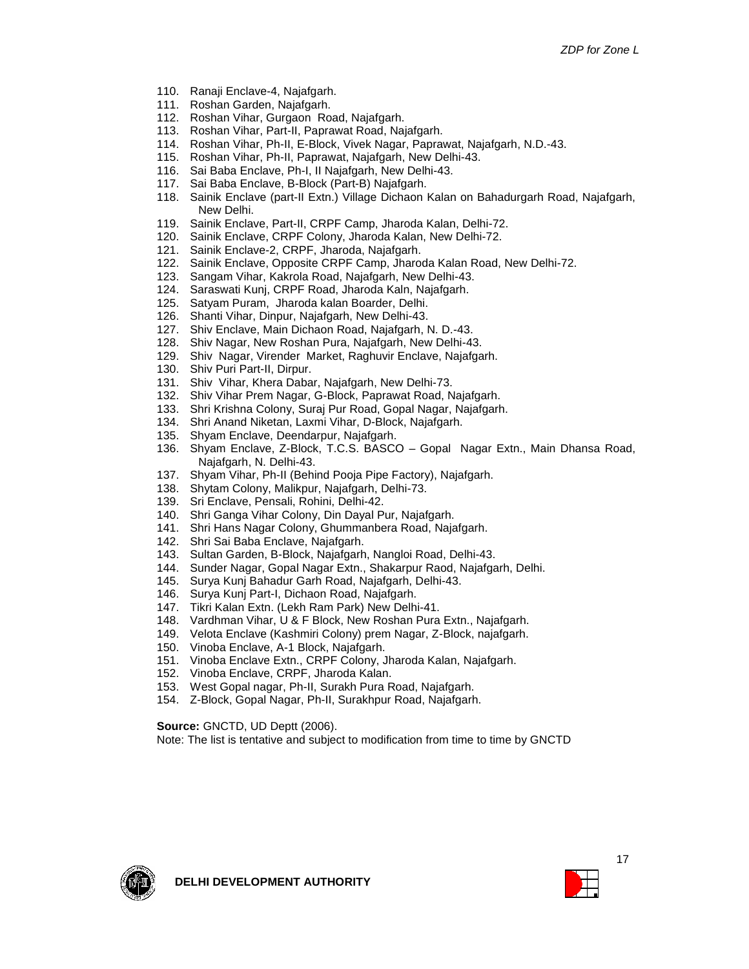- 110. Ranaji Enclave-4, Najafgarh.
- 111. Roshan Garden, Najafgarh.
- 112. Roshan Vihar, Gurgaon Road, Najafgarh.
- 113. Roshan Vihar, Part-II, Paprawat Road, Najafgarh.
- 114. Roshan Vihar, Ph-II, E-Block, Vivek Nagar, Paprawat, Najafgarh, N.D.-43.
- 115. Roshan Vihar, Ph-II, Paprawat, Najafgarh, New Delhi-43.
- 116. Sai Baba Enclave, Ph-I, II Najafgarh, New Delhi-43.
- 117. Sai Baba Enclave, B-Block (Part-B) Najafgarh.
- 118. Sainik Enclave (part-II Extn.) Village Dichaon Kalan on Bahadurgarh Road, Najafgarh, New Delhi.
- 119. Sainik Enclave, Part-II, CRPF Camp, Jharoda Kalan, Delhi-72.
- 120. Sainik Enclave, CRPF Colony, Jharoda Kalan, New Delhi-72.
- 121. Sainik Enclave-2, CRPF, Jharoda, Najafgarh.
- 122. Sainik Enclave, Opposite CRPF Camp, Jharoda Kalan Road, New Delhi-72.
- 123. Sangam Vihar, Kakrola Road, Najafgarh, New Delhi-43.
- 124. Saraswati Kunj, CRPF Road, Jharoda Kaln, Najafgarh.
- 125. Satyam Puram, Jharoda kalan Boarder, Delhi.
- 126. Shanti Vihar, Dinpur, Najafgarh, New Delhi-43.
- 127. Shiv Enclave, Main Dichaon Road, Najafgarh, N. D.-43.
- 128. Shiv Nagar, New Roshan Pura, Najafgarh, New Delhi-43.
- 129. Shiv Nagar, Virender Market, Raghuvir Enclave, Najafgarh.
- 130. Shiv Puri Part-II, Dirpur.
- 131. Shiv Vihar, Khera Dabar, Najafgarh, New Delhi-73.
- 132. Shiv Vihar Prem Nagar, G-Block, Paprawat Road, Najafgarh.
- 133. Shri Krishna Colony, Suraj Pur Road, Gopal Nagar, Najafgarh.
- 134. Shri Anand Niketan, Laxmi Vihar, D-Block, Najafgarh.
- 135. Shyam Enclave, Deendarpur, Najafgarh.
- 136. Shyam Enclave, Z-Block, T.C.S. BASCO Gopal Nagar Extn., Main Dhansa Road, Najafgarh, N. Delhi-43.
- 137. Shyam Vihar, Ph-II (Behind Pooja Pipe Factory), Najafgarh.
- 138. Shytam Colony, Malikpur, Najafgarh, Delhi-73.
- 139. Sri Enclave, Pensali, Rohini, Delhi-42.
- 140. Shri Ganga Vihar Colony, Din Dayal Pur, Najafgarh.
- 141. Shri Hans Nagar Colony, Ghummanbera Road, Najafgarh.
- 142. Shri Sai Baba Enclave, Najafgarh.
- 143. Sultan Garden, B-Block, Najafgarh, Nangloi Road, Delhi-43.
- 144. Sunder Nagar, Gopal Nagar Extn., Shakarpur Raod, Najafgarh, Delhi.
- 145. Surya Kunj Bahadur Garh Road, Najafgarh, Delhi-43.
- 146. Surya Kunj Part-I, Dichaon Road, Najafgarh.
- 147. Tikri Kalan Extn. (Lekh Ram Park) New Delhi-41.
- 148. Vardhman Vihar, U & F Block, New Roshan Pura Extn., Najafgarh.
- 149. Velota Enclave (Kashmiri Colony) prem Nagar, Z-Block, najafgarh.
- 150. Vinoba Enclave, A-1 Block, Najafgarh.
- 151. Vinoba Enclave Extn., CRPF Colony, Jharoda Kalan, Najafgarh.
- 152. Vinoba Enclave, CRPF, Jharoda Kalan.
- 153. West Gopal nagar, Ph-II, Surakh Pura Road, Najafgarh.
- 154. Z-Block, Gopal Nagar, Ph-II, Surakhpur Road, Najafgarh.

#### **Source:** GNCTD, UD Deptt (2006).

Note: The list is tentative and subject to modification from time to time by GNCTD



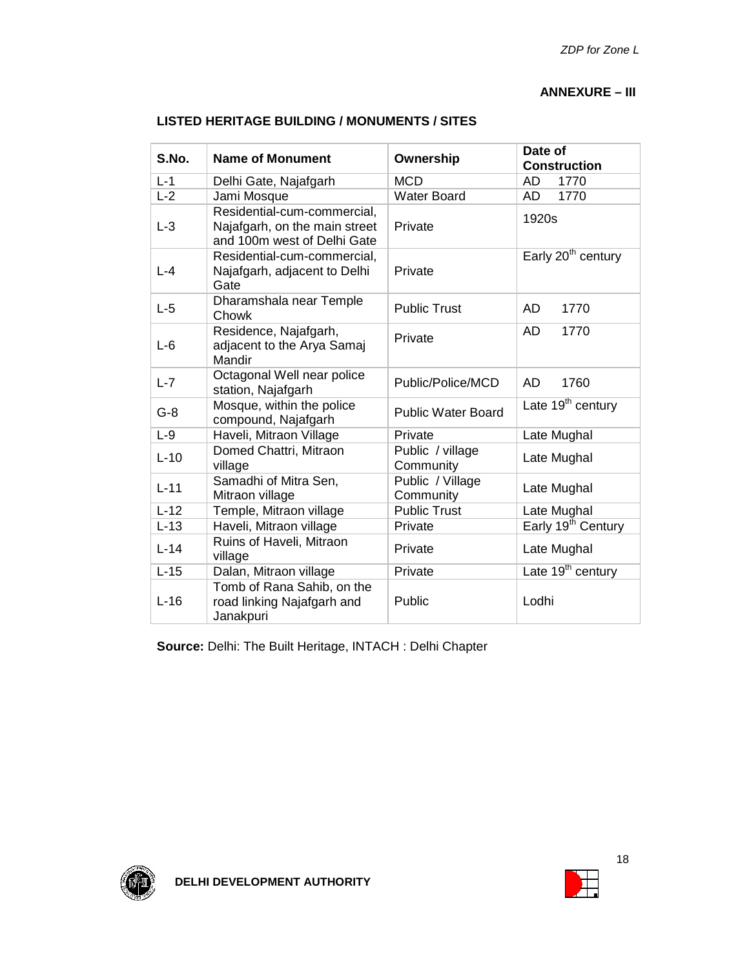#### **ANNEXURE – III**

| S.No.   | <b>Name of Monument</b>                                                                     | Ownership                     | Date of<br><b>Construction</b> |  |
|---------|---------------------------------------------------------------------------------------------|-------------------------------|--------------------------------|--|
| $L - 1$ | Delhi Gate, Najafgarh                                                                       | <b>MCD</b>                    | AD<br>1770                     |  |
| $L-2$   | Jami Mosque                                                                                 | <b>Water Board</b>            | 1770<br>AD                     |  |
| $L-3$   | Residential-cum-commercial,<br>Najafgarh, on the main street<br>and 100m west of Delhi Gate | Private                       | 1920s                          |  |
| $L - 4$ | Residential-cum-commercial,<br>Najafgarh, adjacent to Delhi<br>Gate                         | Private                       | Early 20 <sup>th</sup> century |  |
| $L-5$   | Dharamshala near Temple<br>Chowk                                                            | <b>Public Trust</b>           | <b>AD</b><br>1770              |  |
| $L-6$   | Residence, Najafgarh,<br>adjacent to the Arya Samaj<br>Mandir                               | Private                       | <b>AD</b><br>1770              |  |
| $L - 7$ | Octagonal Well near police<br>station, Najafgarh                                            | Public/Police/MCD             | AD<br>1760                     |  |
| $G-8$   | Mosque, within the police<br>compound, Najafgarh                                            | <b>Public Water Board</b>     | Late $19th$ century            |  |
| $L-9$   | Haveli, Mitraon Village                                                                     | Private                       | Late Mughal                    |  |
| $L-10$  | Domed Chattri, Mitraon<br>village                                                           | Public / village<br>Community | Late Mughal                    |  |
| $L-11$  | Samadhi of Mitra Sen,<br>Mitraon village                                                    | Public / Village<br>Community | Late Mughal                    |  |
| $L-12$  | Temple, Mitraon village                                                                     | <b>Public Trust</b>           | Late Mughal                    |  |
| $L-13$  | Haveli, Mitraon village                                                                     | Private                       | Early 19 <sup>th</sup> Century |  |
| $L-14$  | Ruins of Haveli, Mitraon<br>village                                                         | Private                       | Late Mughal                    |  |
| $L-15$  | Dalan, Mitraon village                                                                      | Private                       | Late 19 <sup>th</sup> century  |  |
| $L-16$  | Tomb of Rana Sahib, on the<br>road linking Najafgarh and<br>Janakpuri                       | Public                        | Lodhi                          |  |

#### **LISTED HERITAGE BUILDING / MONUMENTS / SITES**

**Source:** Delhi: The Built Heritage, INTACH : Delhi Chapter



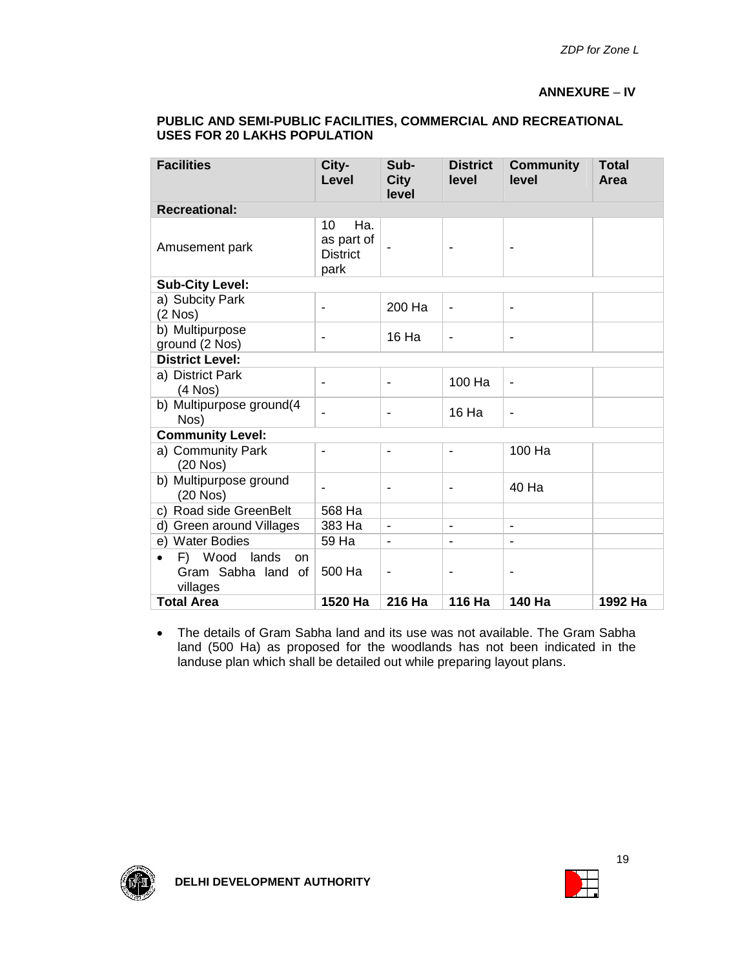#### **ANNEXURE** – **IV**

| <b>Facilities</b>                                                               | City-<br>Level                                     | Sub-<br><b>City</b><br>level | <b>District</b><br>level | <b>Community</b><br>level | <b>Total</b><br>Area |  |  |  |
|---------------------------------------------------------------------------------|----------------------------------------------------|------------------------------|--------------------------|---------------------------|----------------------|--|--|--|
| <b>Recreational:</b>                                                            |                                                    |                              |                          |                           |                      |  |  |  |
| Amusement park                                                                  | Ha.<br>10<br>as part of<br><b>District</b><br>park |                              |                          |                           |                      |  |  |  |
| <b>Sub-City Level:</b>                                                          |                                                    |                              |                          |                           |                      |  |  |  |
| a) Subcity Park<br>$(2$ Nos $)$                                                 | $\overline{a}$                                     | 200 Ha                       | $\overline{\phantom{a}}$ | $\blacksquare$            |                      |  |  |  |
| b) Multipurpose<br>ground (2 Nos)                                               | $\overline{a}$                                     | 16 Ha                        | $\blacksquare$           | $\blacksquare$            |                      |  |  |  |
| <b>District Level:</b>                                                          |                                                    |                              |                          |                           |                      |  |  |  |
| a) District Park<br>$(4$ Nos $)$                                                |                                                    |                              | 100 Ha                   | $\blacksquare$            |                      |  |  |  |
| b) Multipurpose ground(4<br>Nos)                                                |                                                    | $\blacksquare$               | 16 Ha                    | ÷                         |                      |  |  |  |
| <b>Community Level:</b>                                                         |                                                    |                              |                          |                           |                      |  |  |  |
| a) Community Park<br>$(20$ Nos $)$                                              | $\overline{a}$                                     | -                            |                          | 100 Ha                    |                      |  |  |  |
| b) Multipurpose ground<br>$(20$ Nos $)$                                         | $\overline{\phantom{a}}$                           | $\overline{a}$               |                          | 40 Ha                     |                      |  |  |  |
| c) Road side GreenBelt                                                          | 568 Ha                                             |                              |                          |                           |                      |  |  |  |
| d) Green around Villages                                                        | 383 Ha                                             | $\qquad \qquad \blacksquare$ | $\blacksquare$           | ÷                         |                      |  |  |  |
| e) Water Bodies                                                                 | 59 Ha                                              | ٠                            |                          |                           |                      |  |  |  |
| Wood<br>lands<br>F)<br><b>on</b><br>$\bullet$<br>Gram Sabha land of<br>villages | 500 Ha                                             |                              |                          |                           |                      |  |  |  |
| <b>Total Area</b>                                                               | 1520 Ha                                            | 216 Ha                       | 116 Ha                   | 140 Ha                    | 1992 Ha              |  |  |  |

#### **PUBLIC AND SEMI-PUBLIC FACILITIES, COMMERCIAL AND RECREATIONAL USES FOR 20 LAKHS POPULATION**

 The details of Gram Sabha land and its use was not available. The Gram Sabha land (500 Ha) as proposed for the woodlands has not been indicated in the landuse plan which shall be detailed out while preparing layout plans.



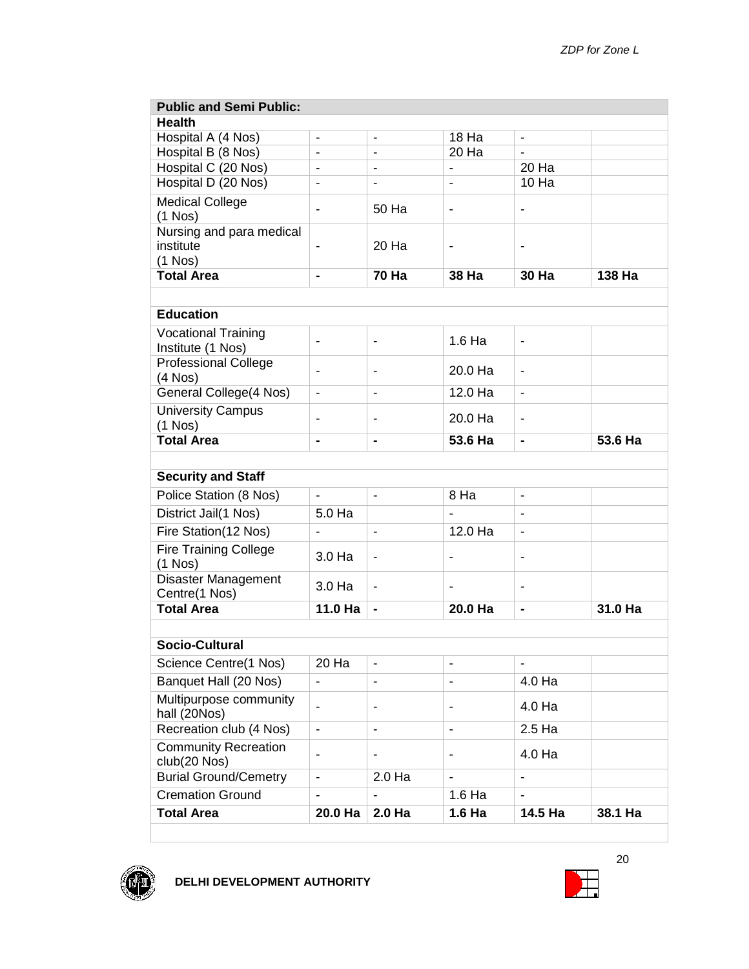| <b>Public and Semi Public:</b>                     |                          |                              |                              |                              |         |
|----------------------------------------------------|--------------------------|------------------------------|------------------------------|------------------------------|---------|
| <b>Health</b>                                      |                          |                              |                              |                              |         |
| Hospital A (4 Nos)                                 | $\blacksquare$           | $\overline{\phantom{a}}$     | 18 Ha                        | $\overline{\phantom{a}}$     |         |
| Hospital B (8 Nos)                                 |                          |                              | 20 Ha                        |                              |         |
| Hospital C (20 Nos)                                | ÷                        |                              |                              | 20 Ha                        |         |
| Hospital D (20 Nos)                                | ÷,                       |                              |                              | 10 Ha                        |         |
| <b>Medical College</b><br>$(1$ Nos)                | -                        | 50 Ha                        | $\overline{\phantom{a}}$     |                              |         |
| Nursing and para medical<br>institute<br>$(1$ Nos) |                          | 20 Ha                        |                              | $\blacksquare$               |         |
| <b>Total Area</b>                                  | $\blacksquare$           | <b>70 Ha</b>                 | 38 Ha                        | 30 Ha                        | 138 Ha  |
|                                                    |                          |                              |                              |                              |         |
| <b>Education</b>                                   |                          |                              |                              |                              |         |
| <b>Vocational Training</b><br>Institute (1 Nos)    | $\blacksquare$           | $\overline{\phantom{0}}$     | 1.6 Ha                       | $\qquad \qquad \blacksquare$ |         |
| <b>Professional College</b><br>$(4$ Nos $)$        | -                        | -                            | 20.0 Ha                      | $\blacksquare$               |         |
| General College(4 Nos)                             |                          |                              | 12.0 Ha                      |                              |         |
| <b>University Campus</b><br>$(1$ Nos)              | -                        | $\qquad \qquad \blacksquare$ | 20.0 Ha                      | $\blacksquare$               |         |
| <b>Total Area</b>                                  | ۰                        | $\overline{\phantom{a}}$     | 53.6 Ha                      | $\blacksquare$               | 53.6 Ha |
|                                                    |                          |                              |                              |                              |         |
| <b>Security and Staff</b>                          |                          |                              |                              |                              |         |
| Police Station (8 Nos)                             | $\overline{\phantom{a}}$ |                              | 8 Ha                         |                              |         |
| District Jail(1 Nos)                               | 5.0 Ha                   |                              |                              |                              |         |
| Fire Station(12 Nos)                               |                          | ÷,                           | 12.0 Ha                      | ä,                           |         |
| <b>Fire Training College</b><br>$(1$ Nos)          | 3.0 Ha                   | $\blacksquare$               | $\blacksquare$               | $\blacksquare$               |         |
| <b>Disaster Management</b><br>Centre(1 Nos)        | 3.0 Ha                   | $\overline{\phantom{0}}$     | $\qquad \qquad \blacksquare$ | $\blacksquare$               |         |
| <b>Total Area</b>                                  | 11.0 Ha                  | $\blacksquare$               | 20.0 Ha                      | $\blacksquare$               | 31.0 Ha |
|                                                    |                          |                              |                              |                              |         |
| Socio-Cultural                                     |                          |                              |                              |                              |         |
| Science Centre(1 Nos)                              | 20 Ha                    | $\blacksquare$               |                              |                              |         |
| Banquet Hall (20 Nos)                              | $\blacksquare$           | $\overline{\phantom{0}}$     |                              | 4.0 Ha                       |         |
| Multipurpose community<br>hall (20Nos)             | $\blacksquare$           | ٠                            | $\blacksquare$               | 4.0 Ha                       |         |
| Recreation club (4 Nos)                            | ä,                       | $\overline{a}$               | $\blacksquare$               | 2.5 Ha                       |         |
| <b>Community Recreation</b><br>club(20 Nos)        | ٠                        | -                            | $\qquad \qquad \blacksquare$ | 4.0 Ha                       |         |
| <b>Burial Ground/Cemetry</b>                       | $\blacksquare$           | 2.0 Ha                       | $\blacksquare$               |                              |         |
| <b>Cremation Ground</b>                            | ٠                        | ä,                           | 1.6 Ha                       |                              |         |
| <b>Total Area</b>                                  | 20.0 Ha                  | 2.0 Ha                       | 1.6 <sub>Ha</sub>            | 14.5 Ha                      | 38.1 Ha |



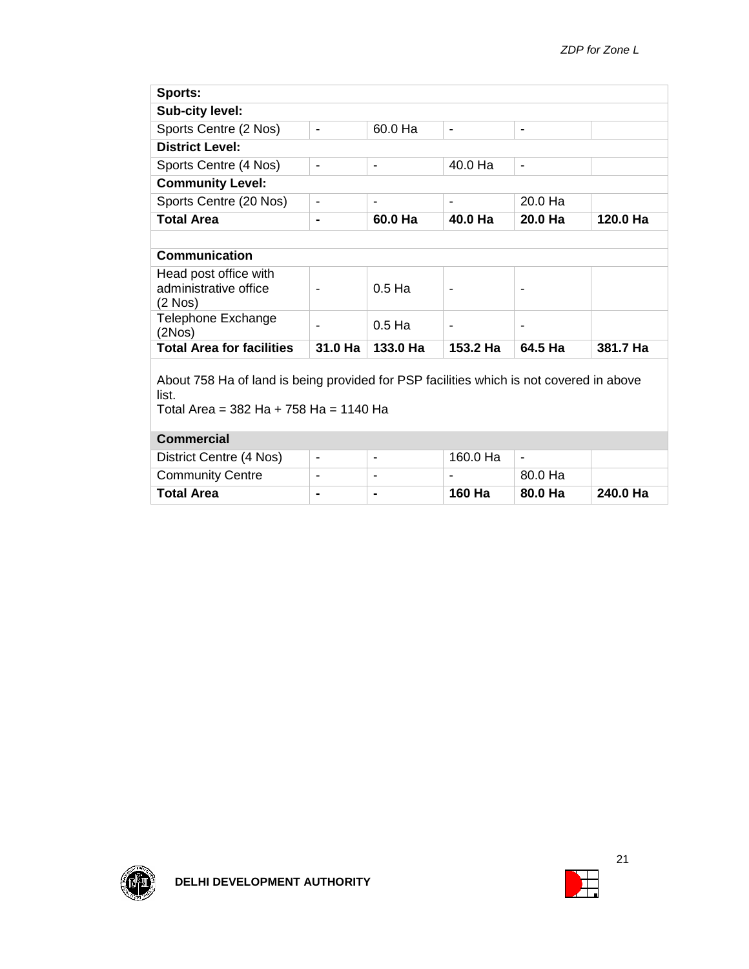| Sports:                                                                                                                                    |                              |                              |                          |                |          |
|--------------------------------------------------------------------------------------------------------------------------------------------|------------------------------|------------------------------|--------------------------|----------------|----------|
| <b>Sub-city level:</b>                                                                                                                     |                              |                              |                          |                |          |
| Sports Centre (2 Nos)                                                                                                                      | $\blacksquare$               | 60.0 Ha                      | $\overline{\phantom{0}}$ | -              |          |
| <b>District Level:</b>                                                                                                                     |                              |                              |                          |                |          |
| Sports Centre (4 Nos)                                                                                                                      | $\overline{\phantom{0}}$     | $\qquad \qquad \blacksquare$ | 40.0 Ha                  | ۰              |          |
| <b>Community Level:</b>                                                                                                                    |                              |                              |                          |                |          |
| Sports Centre (20 Nos)                                                                                                                     | ۰                            | -                            | $\overline{\phantom{0}}$ | 20.0 Ha        |          |
| <b>Total Area</b>                                                                                                                          | ۰                            | 60.0 Ha                      | 40.0 Ha                  | 20.0 Ha        | 120.0 Ha |
|                                                                                                                                            |                              |                              |                          |                |          |
| <b>Communication</b>                                                                                                                       |                              |                              |                          |                |          |
| Head post office with<br>administrative office<br>(2 Nos)                                                                                  | $\blacksquare$               | $0.5$ Ha                     | -                        | -              |          |
| Telephone Exchange<br>(2Nos)                                                                                                               | ۰                            | $0.5$ Ha                     | ۰                        | $\blacksquare$ |          |
| <b>Total Area for facilities</b>                                                                                                           | 31.0 Ha                      | 133.0 Ha                     | 153.2 Ha                 | 64.5 Ha        | 381.7 Ha |
| About 758 Ha of land is being provided for PSP facilities which is not covered in above<br>list.<br>Total Area = 382 Ha + 758 Ha = 1140 Ha |                              |                              |                          |                |          |
| <b>Commercial</b>                                                                                                                          |                              |                              |                          |                |          |
| District Centre (4 Nos)                                                                                                                    | $\qquad \qquad \blacksquare$ | $\overline{\phantom{a}}$     | 160.0 Ha                 | $\blacksquare$ |          |
| <b>Community Centre</b>                                                                                                                    | $\overline{\phantom{0}}$     | $\qquad \qquad \blacksquare$ |                          | 80.0 Ha        |          |
| <b>Total Area</b>                                                                                                                          |                              | ۰                            | 160 Ha                   | 80.0 Ha        | 240.0 Ha |



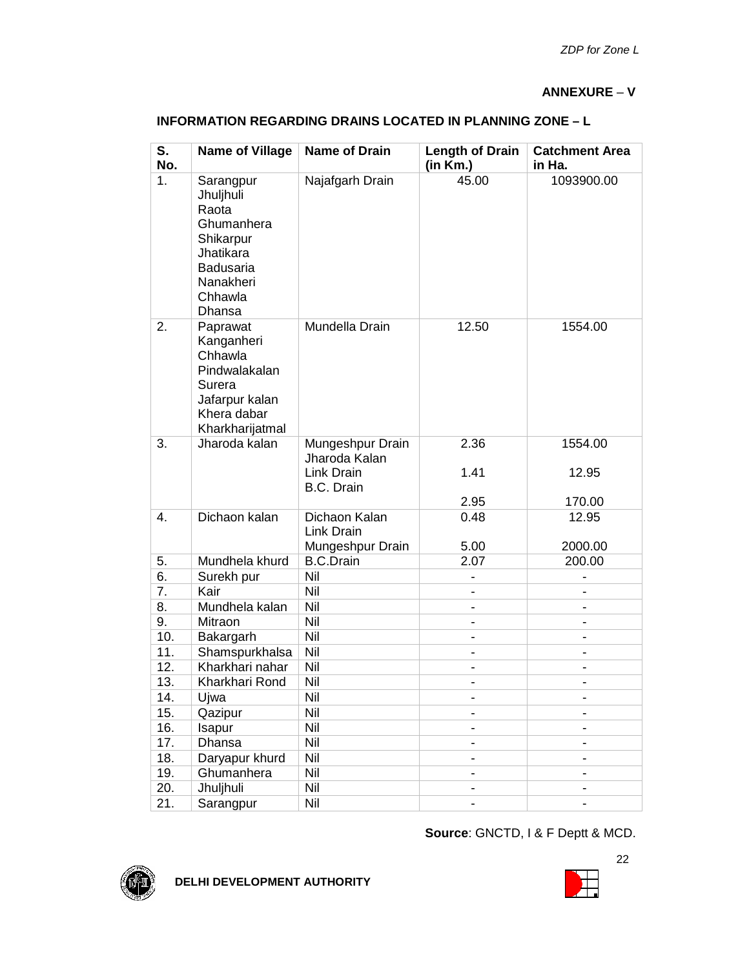#### **ANNEXURE** – **V**

| <b>INFORMATION REGARDING DRAINS LOCATED IN PLANNING ZONE - L</b> |  |
|------------------------------------------------------------------|--|
|------------------------------------------------------------------|--|

| S.<br>No. | <b>Name of Village</b>                                                                                                        | <b>Name of Drain</b>                            | <b>Length of Drain</b><br>(in Km.) | <b>Catchment Area</b><br>in Ha. |
|-----------|-------------------------------------------------------------------------------------------------------------------------------|-------------------------------------------------|------------------------------------|---------------------------------|
| 1.        | Sarangpur<br>Jhuljhuli<br>Raota<br>Ghumanhera<br>Shikarpur<br>Jhatikara<br><b>Badusaria</b><br>Nanakheri<br>Chhawla<br>Dhansa | Najafgarh Drain                                 | 45.00                              | 1093900.00                      |
| 2.        | Paprawat<br>Kanganheri<br>Chhawla<br>Pindwalakalan<br>Surera<br>Jafarpur kalan<br>Khera dabar<br>Kharkharijatmal              | Mundella Drain                                  | 12.50                              | 1554.00                         |
| 3.        | Jharoda kalan                                                                                                                 | Mungeshpur Drain<br>Jharoda Kalan<br>Link Drain | 2.36<br>1.41                       | 1554.00<br>12.95                |
|           |                                                                                                                               | <b>B.C. Drain</b>                               | 2.95                               | 170.00                          |
| 4.        | Dichaon kalan                                                                                                                 | Dichaon Kalan<br>Link Drain<br>Mungeshpur Drain | 0.48<br>5.00                       | 12.95<br>2000.00                |
| 5.        | Mundhela khurd                                                                                                                | <b>B.C.Drain</b>                                | 2.07                               | 200.00                          |
| 6.        | Surekh pur                                                                                                                    | Nil                                             |                                    |                                 |
| 7.        | Kair                                                                                                                          | Nil                                             |                                    |                                 |
| 8.        | Mundhela kalan                                                                                                                | Nil                                             |                                    |                                 |
| 9.        | Mitraon                                                                                                                       | Nil                                             |                                    |                                 |
| 10.       | Bakargarh                                                                                                                     | Nil                                             | $\blacksquare$                     |                                 |
| 11.       | Shamspurkhalsa                                                                                                                | Nil                                             | $\blacksquare$                     |                                 |
| 12.       | Kharkhari nahar                                                                                                               | Nil                                             |                                    |                                 |
| 13.       | Kharkhari Rond                                                                                                                | Nil                                             |                                    |                                 |
| 14.       | Ujwa                                                                                                                          | Nil                                             | $\qquad \qquad \blacksquare$       |                                 |
| 15.       | Qazipur                                                                                                                       | Nil                                             |                                    |                                 |
| 16.       | Isapur                                                                                                                        | Nil                                             |                                    |                                 |
| 17.       | Dhansa                                                                                                                        | Nil                                             |                                    | $\qquad \qquad \blacksquare$    |
| 18.       | Daryapur khurd                                                                                                                | Nil                                             |                                    |                                 |
| 19.       | Ghumanhera                                                                                                                    | Nil                                             |                                    |                                 |
| 20.       | Jhuljhuli                                                                                                                     | Nil                                             |                                    |                                 |
| 21.       | Sarangpur                                                                                                                     | Nil                                             |                                    |                                 |

**Source**: GNCTD, I & F Deptt & MCD.



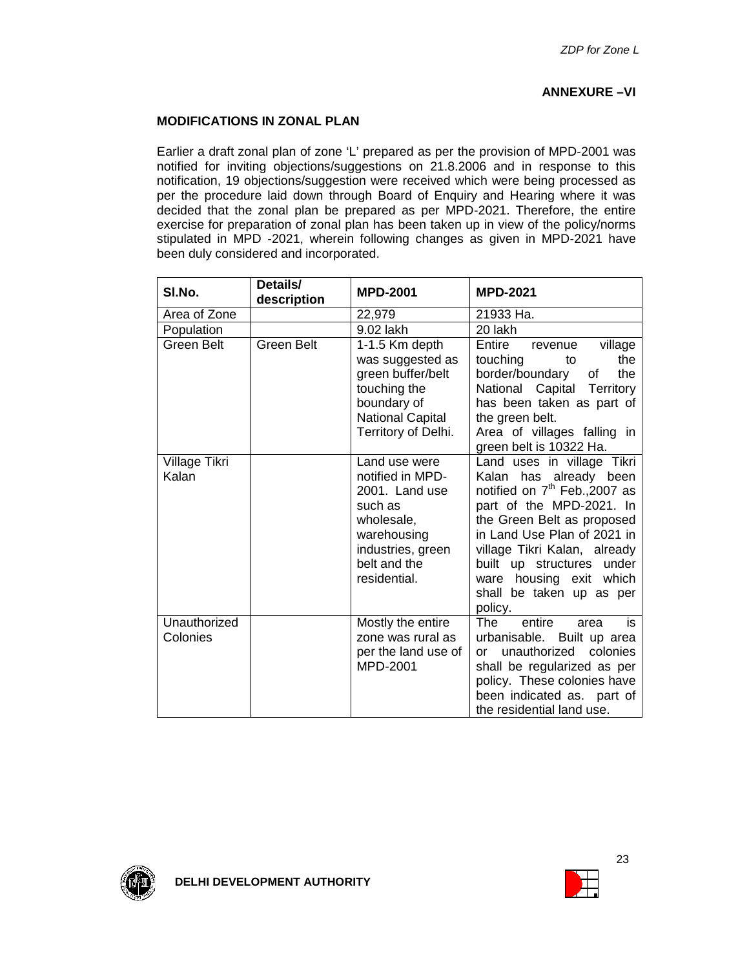#### **ANNEXURE –VI**

#### **MODIFICATIONS IN ZONAL PLAN**

Earlier a draft zonal plan of zone 'L' prepared as per the provision of MPD-2001 was notified for inviting objections/suggestions on 21.8.2006 and in response to this notification, 19 objections/suggestion were received which were being processed as per the procedure laid down through Board of Enquiry and Hearing where it was decided that the zonal plan be prepared as per MPD-2021. Therefore, the entire exercise for preparation of zonal plan has been taken up in view of the policy/norms stipulated in MPD -2021, wherein following changes as given in MPD-2021 have been duly considered and incorporated.

| SI.No.                   | Details/<br>description | <b>MPD-2001</b>                                                                                                                                  | <b>MPD-2021</b>                                                                                                                                                                                                                                                                                                              |
|--------------------------|-------------------------|--------------------------------------------------------------------------------------------------------------------------------------------------|------------------------------------------------------------------------------------------------------------------------------------------------------------------------------------------------------------------------------------------------------------------------------------------------------------------------------|
| Area of Zone             |                         | 22,979                                                                                                                                           | 21933 Ha.                                                                                                                                                                                                                                                                                                                    |
| Population               |                         | 9.02 lakh                                                                                                                                        | 20 lakh                                                                                                                                                                                                                                                                                                                      |
| Green Belt               | <b>Green Belt</b>       | 1-1.5 Km depth<br>was suggested as<br>green buffer/belt<br>touching the<br>boundary of<br><b>National Capital</b><br>Territory of Delhi.         | Entire<br>village<br>revenue<br>touching<br>the<br>to<br>border/boundary<br>the<br>оf<br>National Capital Territory<br>has been taken as part of<br>the green belt.<br>Area of villages falling in<br>green belt is 10322 Ha.                                                                                                |
| Village Tikri<br>Kalan   |                         | Land use were<br>notified in MPD-<br>2001. Land use<br>such as<br>wholesale,<br>warehousing<br>industries, green<br>belt and the<br>residential. | Land uses in village Tikri<br>has already been<br>Kalan<br>notified on 7 <sup>th</sup> Feb., 2007 as<br>part of the MPD-2021. In<br>the Green Belt as proposed<br>in Land Use Plan of 2021 in<br>village Tikri Kalan, already<br>built up structures under<br>ware housing exit which<br>shall be taken up as per<br>policy. |
| Unauthorized<br>Colonies |                         | Mostly the entire<br>zone was rural as<br>per the land use of<br>MPD-2001                                                                        | entire<br>is<br><b>The</b><br>area<br>urbanisable.<br>Built up area<br>unauthorized<br>colonies<br>$\alpha$<br>shall be regularized as per<br>policy. These colonies have<br>been indicated as. part of<br>the residential land use.                                                                                         |



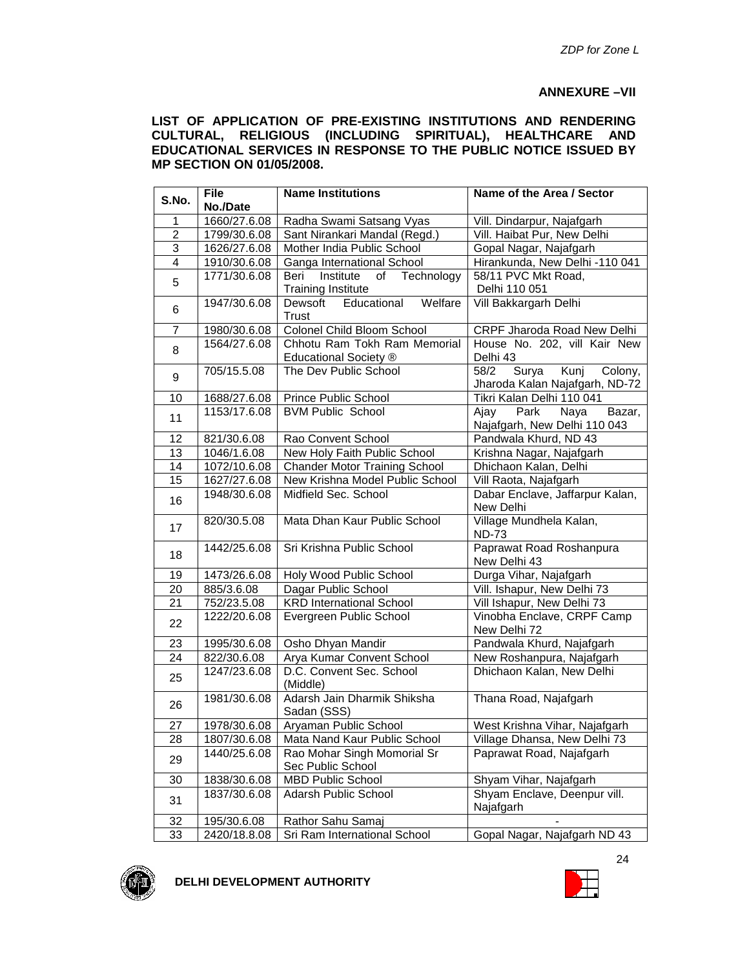#### **ANNEXURE –VII**

**LIST OF APPLICATION OF PRE-EXISTING INSTITUTIONS AND RENDERING CULTURAL, RELIGIOUS (INCLUDING SPIRITUAL), HEALTHCARE AND EDUCATIONAL SERVICES IN RESPONSE TO THE PUBLIC NOTICE ISSUED BY MP SECTION ON 01/05/2008.**

| S.No.           | <b>File</b>  | <b>Name Institutions</b>                   | Name of the Area / Sector               |
|-----------------|--------------|--------------------------------------------|-----------------------------------------|
|                 | No./Date     |                                            |                                         |
| 1               | 1660/27.6.08 | Radha Swami Satsang Vyas                   | Vill. Dindarpur, Najafgarh              |
| $\overline{2}$  | 1799/30.6.08 | Sant Nirankari Mandal (Regd.)              | Vill. Haibat Pur, New Delhi             |
| $\overline{3}$  | 1626/27.6.08 | Mother India Public School                 | Gopal Nagar, Najafgarh                  |
| $\overline{4}$  | 1910/30.6.08 | Ganga International School                 | Hirankunda, New Delhi -110 041          |
| 5               | 1771/30.6.08 | Beri<br>Institute<br>of<br>Technology      | 58/11 PVC Mkt Road,                     |
|                 |              | <b>Training Institute</b>                  | Delhi 110 051                           |
| 6               | 1947/30.6.08 | Educational<br>Welfare<br>Dewsoft<br>Trust | Vill Bakkargarh Delhi                   |
| $\overline{7}$  | 1980/30.6.08 | Colonel Child Bloom School                 | CRPF Jharoda Road New Delhi             |
| 8               | 1564/27.6.08 | Chhotu Ram Tokh Ram Memorial               | House No. 202, vill Kair New            |
|                 |              | Educational Society ®                      | Delhi 43                                |
| 9               | 705/15.5.08  | The Dev Public School                      | 58/2<br>Surya<br>Kunj<br>Colony,        |
|                 |              |                                            | Jharoda Kalan Najafgarh, ND-72          |
| 10              | 1688/27.6.08 | Prince Public School                       | Tikri Kalan Delhi 110 041               |
| 11              | 1153/17.6.08 | <b>BVM Public School</b>                   | Park<br>Naya<br>Bazar,<br>Ajay          |
|                 |              |                                            | Najafgarh, New Delhi 110 043            |
| 12              | 821/30.6.08  | Rao Convent School                         | Pandwala Khurd, ND 43                   |
| 13              | 1046/1.6.08  | New Holy Faith Public School               | Krishna Nagar, Najafgarh                |
| 14              | 1072/10.6.08 | <b>Chander Motor Training School</b>       | Dhichaon Kalan, Delhi                   |
| 15              | 1627/27.6.08 | New Krishna Model Public School            | Vill Raota, Najafgarh                   |
| 16              | 1948/30.6.08 | Midfield Sec. School                       | Dabar Enclave, Jaffarpur Kalan,         |
|                 |              |                                            | New Delhi                               |
| 17              | 820/30.5.08  | Mata Dhan Kaur Public School               | Village Mundhela Kalan,<br><b>ND-73</b> |
| 1442/25.6.08    |              | Sri Krishna Public School                  | Paprawat Road Roshanpura                |
| 18              |              |                                            | New Delhi 43                            |
| 19              | 1473/26.6.08 | Holy Wood Public School                    | Durga Vihar, Najafgarh                  |
| 20              | 885/3.6.08   | Dagar Public School                        | Vill. Ishapur, New Delhi 73             |
| 21              | 752/23.5.08  | <b>KRD International School</b>            | Vill Ishapur, New Delhi 73              |
|                 | 1222/20.6.08 | Evergreen Public School                    | Vinobha Enclave, CRPF Camp              |
| 22              |              |                                            | New Delhi 72                            |
| 23              | 1995/30.6.08 | Osho Dhyan Mandir                          | Pandwala Khurd, Najafgarh               |
| 24              | 822/30.6.08  | Arya Kumar Convent School                  | New Roshanpura, Najafgarh               |
|                 | 1247/23.6.08 | D.C. Convent Sec. School                   | Dhichaon Kalan, New Delhi               |
| 25              |              | (Middle)                                   |                                         |
|                 | 1981/30.6.08 | Adarsh Jain Dharmik Shiksha                | Thana Road, Najafgarh                   |
| 26              |              | Sadan (SSS)                                |                                         |
| 27              | 1978/30.6.08 | Aryaman Public School                      | West Krishna Vihar, Najafgarh           |
| $\overline{28}$ | 1807/30.6.08 | Mata Nand Kaur Public School               | Village Dhansa, New Delhi 73            |
|                 | 1440/25.6.08 | Rao Mohar Singh Momorial Sr                | Paprawat Road, Najafgarh                |
| 29              |              | Sec Public School                          |                                         |
| 30              | 1838/30.6.08 | <b>MBD Public School</b>                   | Shyam Vihar, Najafgarh                  |
|                 | 1837/30.6.08 | Adarsh Public School                       | Shyam Enclave, Deenpur vill.            |
| 31              |              |                                            | Najafgarh                               |
| 32              | 195/30.6.08  | Rathor Sahu Samaj                          |                                         |
| 33              | 2420/18.8.08 | Sri Ram International School               | Gopal Nagar, Najafgarh ND 43            |